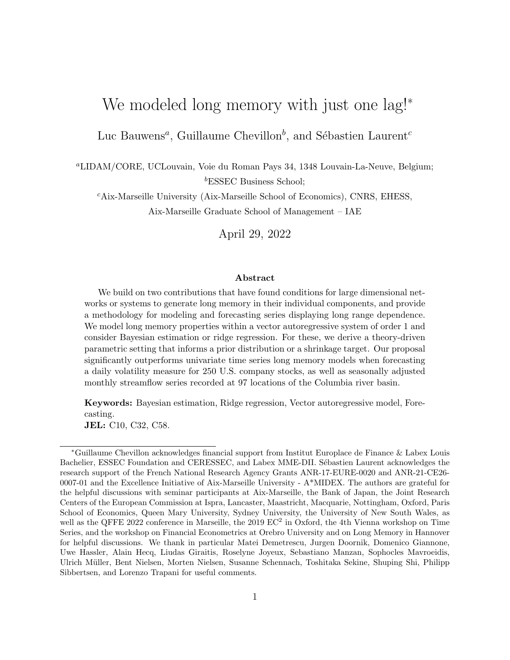# We modeled long memory with just one lag!<sup>∗</sup>

Luc Bauwens<sup>a</sup>, Guillaume Chevillon<sup>b</sup>, and Sébastien Laurent<sup>c</sup>

<sup>a</sup>LIDAM/CORE, UCLouvain, Voie du Roman Pays 34, 1348 Louvain-La-Neuve, Belgium; <sup>b</sup>ESSEC Business School;

<sup>c</sup>Aix-Marseille University (Aix-Marseille School of Economics), CNRS, EHESS, Aix-Marseille Graduate School of Management – IAE

April 29, 2022

#### Abstract

We build on two contributions that have found conditions for large dimensional networks or systems to generate long memory in their individual components, and provide a methodology for modeling and forecasting series displaying long range dependence. We model long memory properties within a vector autoregressive system of order 1 and consider Bayesian estimation or ridge regression. For these, we derive a theory-driven parametric setting that informs a prior distribution or a shrinkage target. Our proposal significantly outperforms univariate time series long memory models when forecasting a daily volatility measure for 250 U.S. company stocks, as well as seasonally adjusted monthly streamflow series recorded at 97 locations of the Columbia river basin.

Keywords: Bayesian estimation, Ridge regression, Vector autoregressive model, Forecasting.

JEL: C10, C32, C58.

<sup>∗</sup>Guillaume Chevillon acknowledges financial support from Institut Europlace de Finance & Labex Louis Bachelier, ESSEC Foundation and CERESSEC, and Labex MME-DII. Sébastien Laurent acknowledges the research support of the French National Research Agency Grants ANR-17-EURE-0020 and ANR-21-CE26- 0007-01 and the Excellence Initiative of Aix-Marseille University - A\*MIDEX. The authors are grateful for the helpful discussions with seminar participants at Aix-Marseille, the Bank of Japan, the Joint Research Centers of the European Commission at Ispra, Lancaster, Maastricht, Macquarie, Nottingham, Oxford, Paris School of Economics, Queen Mary University, Sydney University, the University of New South Wales, as well as the QFFE 2022 conference in Marseille, the 2019  $EC^2$  in Oxford, the 4th Vienna workshop on Time Series, and the workshop on Financial Econometrics at Orebro University and on Long Memory in Hannover for helpful discussions. We thank in particular Matei Demetrescu, Jurgen Doornik, Domenico Giannone, Uwe Hassler, Alain Hecq, Liudas Giraitis, Roselyne Joyeux, Sebastiano Manzan, Sophocles Mavroeidis, Ulrich M¨uller, Bent Nielsen, Morten Nielsen, Susanne Schennach, Toshitaka Sekine, Shuping Shi, Philipp Sibbertsen, and Lorenzo Trapani for useful comments.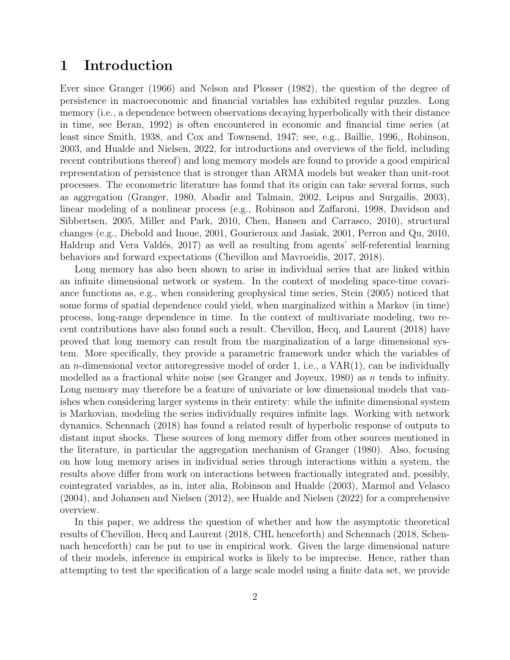### 1 Introduction

Ever since Granger (1966) and Nelson and Plosser (1982), the question of the degree of persistence in macroeconomic and financial variables has exhibited regular puzzles. Long memory (i.e., a dependence between observations decaying hyperbolically with their distance in time, see Beran, 1992) is often encountered in economic and financial time series (at least since Smith, 1938, and Cox and Townsend, 1947; see, e.g., Baillie, 1996,, Robinson, 2003, and Hualde and Nielsen, 2022, for introductions and overviews of the field, including recent contributions thereof) and long memory models are found to provide a good empirical representation of persistence that is stronger than ARMA models but weaker than unit-root processes. The econometric literature has found that its origin can take several forms, such as aggregation (Granger, 1980, Abadir and Talmain, 2002, Leipus and Surgailis, 2003), linear modeling of a nonlinear process (e.g., Robinson and Zaffaroni, 1998, Davidson and Sibbertsen, 2005, Miller and Park, 2010, Chen, Hansen and Carrasco, 2010), structural changes (e.g., Diebold and Inoue, 2001, Gourieroux and Jasiak, 2001, Perron and Qu, 2010, Haldrup and Vera Valdés, 2017) as well as resulting from agents' self-referential learning behaviors and forward expectations (Chevillon and Mavroeidis, 2017, 2018).

Long memory has also been shown to arise in individual series that are linked within an infinite dimensional network or system. In the context of modeling space-time covariance functions as, e.g., when considering geophysical time series, Stein (2005) noticed that some forms of spatial dependence could yield, when marginalized within a Markov (in time) process, long-range dependence in time. In the context of multivariate modeling, two recent contributions have also found such a result. Chevillon, Hecq, and Laurent (2018) have proved that long memory can result from the marginalization of a large dimensional system. More specifically, they provide a parametric framework under which the variables of an *n*-dimensional vector autoregressive model of order 1, i.e., a  $VAR(1)$ , can be individually modelled as a fractional white noise (see Granger and Joyeux, 1980) as n tends to infinity. Long memory may therefore be a feature of univariate or low dimensional models that vanishes when considering larger systems in their entirety: while the infinite dimensional system is Markovian, modeling the series individually requires infinite lags. Working with network dynamics, Schennach (2018) has found a related result of hyperbolic response of outputs to distant input shocks. These sources of long memory differ from other sources mentioned in the literature, in particular the aggregation mechanism of Granger (1980). Also, focusing on how long memory arises in individual series through interactions within a system, the results above differ from work on interactions between fractionally integrated and, possibly, cointegrated variables, as in, inter alia, Robinson and Hualde (2003), Marmol and Velasco (2004), and Johansen and Nielsen (2012), see Hualde and Nielsen (2022) for a comprehensive overview.

In this paper, we address the question of whether and how the asymptotic theoretical results of Chevillon, Hecq and Laurent (2018, CHL henceforth) and Schennach (2018, Schennach henceforth) can be put to use in empirical work. Given the large dimensional nature of their models, inference in empirical works is likely to be imprecise. Hence, rather than attempting to test the specification of a large scale model using a finite data set, we provide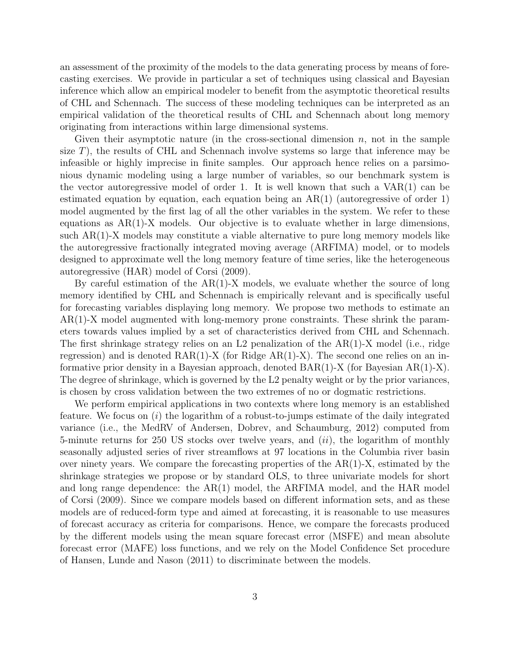an assessment of the proximity of the models to the data generating process by means of forecasting exercises. We provide in particular a set of techniques using classical and Bayesian inference which allow an empirical modeler to benefit from the asymptotic theoretical results of CHL and Schennach. The success of these modeling techniques can be interpreted as an empirical validation of the theoretical results of CHL and Schennach about long memory originating from interactions within large dimensional systems.

Given their asymptotic nature (in the cross-sectional dimension  $n$ , not in the sample size  $T$ ), the results of CHL and Schennach involve systems so large that inference may be infeasible or highly imprecise in finite samples. Our approach hence relies on a parsimonious dynamic modeling using a large number of variables, so our benchmark system is the vector autoregressive model of order 1. It is well known that such a  $VAR(1)$  can be estimated equation by equation, each equation being an  $AR(1)$  (autoregressive of order 1) model augmented by the first lag of all the other variables in the system. We refer to these equations as  $AR(1)-X$  models. Our objective is to evaluate whether in large dimensions, such AR(1)-X models may constitute a viable alternative to pure long memory models like the autoregressive fractionally integrated moving average (ARFIMA) model, or to models designed to approximate well the long memory feature of time series, like the heterogeneous autoregressive (HAR) model of Corsi (2009).

By careful estimation of the AR(1)-X models, we evaluate whether the source of long memory identified by CHL and Schennach is empirically relevant and is specifically useful for forecasting variables displaying long memory. We propose two methods to estimate an AR(1)-X model augmented with long-memory prone constraints. These shrink the parameters towards values implied by a set of characteristics derived from CHL and Schennach. The first shrinkage strategy relies on an L2 penalization of the  $AR(1)$ -X model (i.e., ridge regression) and is denoted  $\text{RAR}(1)$ -X (for Ridge  $\text{AR}(1)$ -X). The second one relies on an informative prior density in a Bayesian approach, denoted  $BAR(1)-X$  (for Bayesian  $AR(1)-X$ ). The degree of shrinkage, which is governed by the L2 penalty weight or by the prior variances, is chosen by cross validation between the two extremes of no or dogmatic restrictions.

We perform empirical applications in two contexts where long memory is an established feature. We focus on  $(i)$  the logarithm of a robust-to-jumps estimate of the daily integrated variance (i.e., the MedRV of Andersen, Dobrev, and Schaumburg, 2012) computed from 5-minute returns for 250 US stocks over twelve years, and  $(ii)$ , the logarithm of monthly seasonally adjusted series of river streamflows at 97 locations in the Columbia river basin over ninety years. We compare the forecasting properties of the  $AR(1)-X$ , estimated by the shrinkage strategies we propose or by standard OLS, to three univariate models for short and long range dependence: the AR(1) model, the ARFIMA model, and the HAR model of Corsi (2009). Since we compare models based on different information sets, and as these models are of reduced-form type and aimed at forecasting, it is reasonable to use measures of forecast accuracy as criteria for comparisons. Hence, we compare the forecasts produced by the different models using the mean square forecast error (MSFE) and mean absolute forecast error (MAFE) loss functions, and we rely on the Model Confidence Set procedure of Hansen, Lunde and Nason (2011) to discriminate between the models.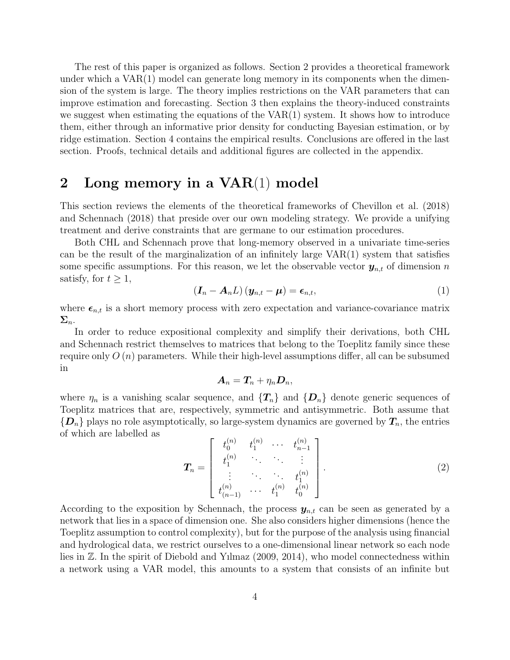The rest of this paper is organized as follows. Section 2 provides a theoretical framework under which a VAR(1) model can generate long memory in its components when the dimension of the system is large. The theory implies restrictions on the VAR parameters that can improve estimation and forecasting. Section 3 then explains the theory-induced constraints we suggest when estimating the equations of the  $VAR(1)$  system. It shows how to introduce them, either through an informative prior density for conducting Bayesian estimation, or by ridge estimation. Section 4 contains the empirical results. Conclusions are offered in the last section. Proofs, technical details and additional figures are collected in the appendix.

### 2 Long memory in a VAR(1) model

This section reviews the elements of the theoretical frameworks of Chevillon et al. (2018) and Schennach (2018) that preside over our own modeling strategy. We provide a unifying treatment and derive constraints that are germane to our estimation procedures.

Both CHL and Schennach prove that long-memory observed in a univariate time-series can be the result of the marginalization of an infinitely large  $VAR(1)$  system that satisfies some specific assumptions. For this reason, we let the observable vector  $y_{n,t}$  of dimension n satisfy, for  $t \geq 1$ ,

$$
\left(\boldsymbol{I}_n - \boldsymbol{A}_n \boldsymbol{L}\right) \left(\boldsymbol{y}_{n,t} - \boldsymbol{\mu}\right) = \boldsymbol{\epsilon}_{n,t},\tag{1}
$$

where  $\epsilon_{n,t}$  is a short memory process with zero expectation and variance-covariance matrix  $\Sigma_n$ .

In order to reduce expositional complexity and simplify their derivations, both CHL and Schennach restrict themselves to matrices that belong to the Toeplitz family since these require only  $O(n)$  parameters. While their high-level assumptions differ, all can be subsumed in

$$
\boldsymbol{A}_n = \boldsymbol{T}_n + \eta_n \boldsymbol{D}_n,
$$

where  $\eta_n$  is a vanishing scalar sequence, and  $\{T_n\}$  and  $\{D_n\}$  denote generic sequences of Toeplitz matrices that are, respectively, symmetric and antisymmetric. Both assume that  ${D_n}$  plays no role asymptotically, so large-system dynamics are governed by  $T_n$ , the entries of which are labelled as

$$
\boldsymbol{T}_{n} = \begin{bmatrix} t_{0}^{(n)} & t_{1}^{(n)} & \cdots & t_{n-1}^{(n)} \\ t_{1}^{(n)} & \ddots & \ddots & \vdots \\ \vdots & \ddots & \ddots & t_{1}^{(n)} \\ t_{(n-1)}^{(n)} & \cdots & t_{1}^{(n)} & t_{0}^{(n)} \end{bmatrix} .
$$
 (2)

According to the exposition by Schennach, the process  $y_{n,t}$  can be seen as generated by a network that lies in a space of dimension one. She also considers higher dimensions (hence the Toeplitz assumption to control complexity), but for the purpose of the analysis using financial and hydrological data, we restrict ourselves to a one-dimensional linear network so each node lies in Z. In the spirit of Diebold and Yılmaz (2009, 2014), who model connectedness within a network using a VAR model, this amounts to a system that consists of an infinite but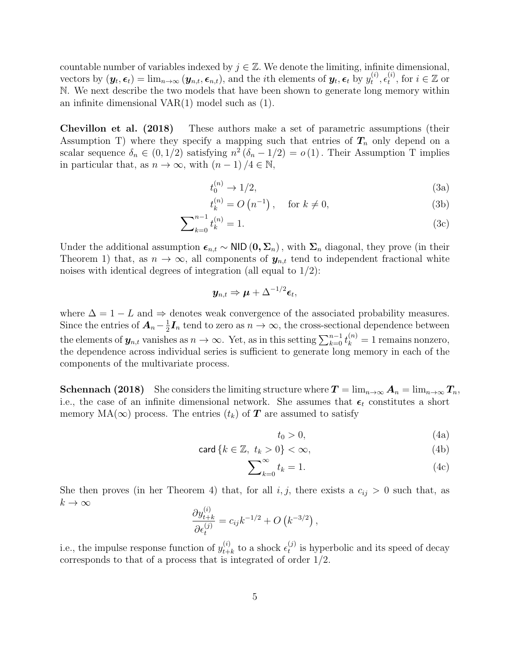countable number of variables indexed by  $j \in \mathbb{Z}$ . We denote the limiting, infinite dimensional, vectors by  $(\mathbf{y}_t, \boldsymbol{\epsilon}_t) = \lim_{n \to \infty} (\mathbf{y}_{n,t}, \boldsymbol{\epsilon}_{n,t})$ , and the *i*th elements of  $\mathbf{y}_t, \boldsymbol{\epsilon}_t$  by  $y_t^{(i)}$  $_t^{(i)}, \epsilon_t^{(i)}$  $_t^{(i)}$ , for  $i \in \mathbb{Z}$  or N. We next describe the two models that have been shown to generate long memory within an infinite dimensional VAR(1) model such as (1).

Chevillon et al. (2018) These authors make a set of parametric assumptions (their Assumption T) where they specify a mapping such that entries of  $T_n$  only depend on a scalar sequence  $\delta_n \in (0, 1/2)$  satisfying  $n^2 (\delta_n - 1/2) = o(1)$ . Their Assumption T implies in particular that, as  $n \to \infty$ , with  $(n-1)/4 \in \mathbb{N}$ ,

$$
t_0^{(n)} \to 1/2,\tag{3a}
$$

$$
t_k^{(n)} = O\left(n^{-1}\right), \quad \text{for } k \neq 0,
$$
\n
$$
(3b)
$$

$$
\sum_{k=0}^{n-1} t_k^{(n)} = 1.
$$
\n(3c)

Under the additional assumption  $\epsilon_{n,t} \sim \text{NID} (0, \Sigma_n)$ , with  $\Sigma_n$  diagonal, they prove (in their Theorem 1) that, as  $n \to \infty$ , all components of  $y_{n,t}$  tend to independent fractional white noises with identical degrees of integration (all equal to  $1/2$ ):

$$
\quad \boldsymbol{y_{n,t}} \Rightarrow \boldsymbol{\mu} + \Delta^{-1/2}\boldsymbol{\epsilon}_t,
$$

where  $\Delta = 1 - L$  and  $\Rightarrow$  denotes weak convergence of the associated probability measures. Since the entries of  $A_n-\frac{1}{2}$  $\frac{1}{2}I_n$  tend to zero as  $n \to \infty$ , the cross-sectional dependence between the elements of  $y_{n,t}$  vanishes as  $n \to \infty$ . Yet, as in this setting  $\sum_{k=0}^{n-1} t_k^{(n)} = 1$  remains nonzero, the dependence across individual series is sufficient to generate long memory in each of the components of the multivariate process.

**Schennach (2018)** She considers the limiting structure where  $T = \lim_{n \to \infty} A_n = \lim_{n \to \infty} T_n$ , i.e., the case of an infinite dimensional network. She assumes that  $\epsilon_t$  constitutes a short memory  $MA(\infty)$  process. The entries  $(t_k)$  of  $T$  are assumed to satisfy

$$
t_0 > 0,\tag{4a}
$$

$$
\operatorname{card}\left\{k\in\mathbb{Z},\ t_k>0\right\}<\infty,\tag{4b}
$$

$$
\sum_{k=0}^{\infty} t_k = 1.
$$
 (4c)

She then proves (in her Theorem 4) that, for all  $i, j$ , there exists a  $c_{ij} > 0$  such that, as  $k\to\infty$ 

$$
\frac{\partial y_{t+k}^{(i)}}{\partial \epsilon_t^{(j)}} = c_{ij} k^{-1/2} + O\left(k^{-3/2}\right),
$$

i.e., the impulse response function of  $y_{t+}^{(i)}$  $_{t+k}^{(i)}$  to a shock  $\epsilon_t^{(j)}$  $t<sub>t</sub><sup>(J)</sup>$  is hyperbolic and its speed of decay corresponds to that of a process that is integrated of order 1/2.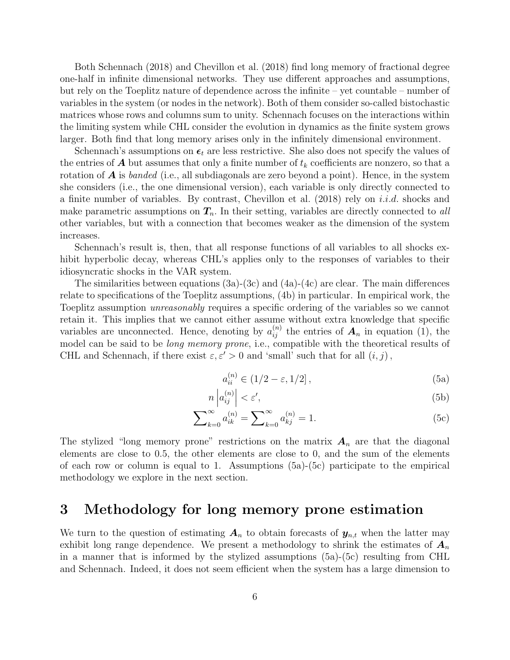Both Schennach (2018) and Chevillon et al. (2018) find long memory of fractional degree one-half in infinite dimensional networks. They use different approaches and assumptions, but rely on the Toeplitz nature of dependence across the infinite – yet countable – number of variables in the system (or nodes in the network). Both of them consider so-called bistochastic matrices whose rows and columns sum to unity. Schennach focuses on the interactions within the limiting system while CHL consider the evolution in dynamics as the finite system grows larger. Both find that long memory arises only in the infinitely dimensional environment.

Schennach's assumptions on  $\epsilon_t$  are less restrictive. She also does not specify the values of the entries of  $\boldsymbol{A}$  but assumes that only a finite number of  $t_k$  coefficients are nonzero, so that a rotation of  $\bm{A}$  is banded (i.e., all subdiagonals are zero beyond a point). Hence, in the system she considers (i.e., the one dimensional version), each variable is only directly connected to a finite number of variables. By contrast, Chevillon et al.  $(2018)$  rely on *i.i.d.* shocks and make parametric assumptions on  $T_n$ . In their setting, variables are directly connected to all other variables, but with a connection that becomes weaker as the dimension of the system increases.

Schennach's result is, then, that all response functions of all variables to all shocks exhibit hyperbolic decay, whereas CHL's applies only to the responses of variables to their idiosyncratic shocks in the VAR system.

The similarities between equations  $(3a)-(3c)$  and  $(4a)-(4c)$  are clear. The main differences relate to specifications of the Toeplitz assumptions, (4b) in particular. In empirical work, the Toeplitz assumption unreasonably requires a specific ordering of the variables so we cannot retain it. This implies that we cannot either assume without extra knowledge that specific variables are unconnected. Hence, denoting by  $a_{ij}^{(n)}$  the entries of  $A_n$  in equation (1), the model can be said to be long memory prone, i.e., compatible with the theoretical results of CHL and Schennach, if there exist  $\varepsilon, \varepsilon' > 0$  and 'small' such that for all  $(i, j)$ ,

$$
a_{ii}^{(n)} \in (1/2 - \varepsilon, 1/2], \tag{5a}
$$

$$
n\left|a_{ij}^{(n)}\right| < \varepsilon',\tag{5b}
$$

$$
\sum_{k=0}^{\infty} a_{ik}^{(n)} = \sum_{k=0}^{\infty} a_{kj}^{(n)} = 1.
$$
 (5c)

The stylized "long memory prone" restrictions on the matrix  $A_n$  are that the diagonal elements are close to 0.5, the other elements are close to 0, and the sum of the elements of each row or column is equal to 1. Assumptions (5a)-(5c) participate to the empirical methodology we explore in the next section.

### 3 Methodology for long memory prone estimation

We turn to the question of estimating  $A_n$  to obtain forecasts of  $y_{n,t}$  when the latter may exhibit long range dependence. We present a methodology to shrink the estimates of  $A_n$ in a manner that is informed by the stylized assumptions (5a)-(5c) resulting from CHL and Schennach. Indeed, it does not seem efficient when the system has a large dimension to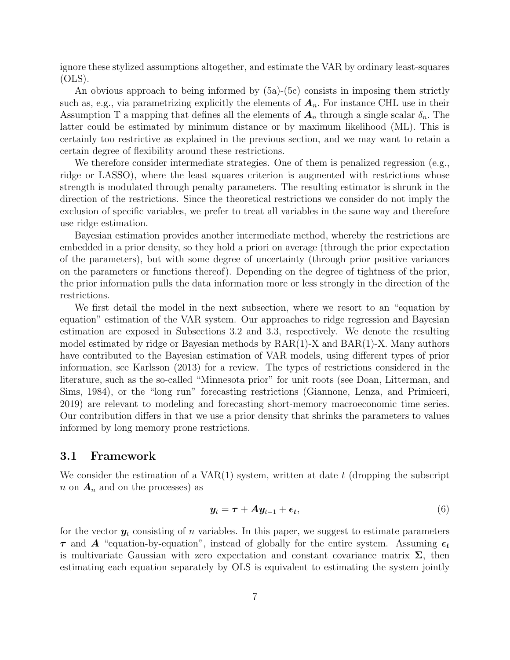ignore these stylized assumptions altogether, and estimate the VAR by ordinary least-squares  $(OLS)$ .

An obvious approach to being informed by (5a)-(5c) consists in imposing them strictly such as, e.g., via parametrizing explicitly the elements of  $A_n$ . For instance CHL use in their Assumption T a mapping that defines all the elements of  $A_n$  through a single scalar  $\delta_n$ . The latter could be estimated by minimum distance or by maximum likelihood (ML). This is certainly too restrictive as explained in the previous section, and we may want to retain a certain degree of flexibility around these restrictions.

We therefore consider intermediate strategies. One of them is penalized regression (e.g., ridge or LASSO), where the least squares criterion is augmented with restrictions whose strength is modulated through penalty parameters. The resulting estimator is shrunk in the direction of the restrictions. Since the theoretical restrictions we consider do not imply the exclusion of specific variables, we prefer to treat all variables in the same way and therefore use ridge estimation.

Bayesian estimation provides another intermediate method, whereby the restrictions are embedded in a prior density, so they hold a priori on average (through the prior expectation of the parameters), but with some degree of uncertainty (through prior positive variances on the parameters or functions thereof). Depending on the degree of tightness of the prior, the prior information pulls the data information more or less strongly in the direction of the restrictions.

We first detail the model in the next subsection, where we resort to an "equation by equation" estimation of the VAR system. Our approaches to ridge regression and Bayesian estimation are exposed in Subsections 3.2 and 3.3, respectively. We denote the resulting model estimated by ridge or Bayesian methods by RAR(1)-X and BAR(1)-X. Many authors have contributed to the Bayesian estimation of VAR models, using different types of prior information, see Karlsson (2013) for a review. The types of restrictions considered in the literature, such as the so-called "Minnesota prior" for unit roots (see Doan, Litterman, and Sims, 1984), or the "long run" forecasting restrictions (Giannone, Lenza, and Primiceri, 2019) are relevant to modeling and forecasting short-memory macroeconomic time series. Our contribution differs in that we use a prior density that shrinks the parameters to values informed by long memory prone restrictions.

#### 3.1 Framework

We consider the estimation of a  $VAR(1)$  system, written at date t (dropping the subscript  $n$  on  $A_n$  and on the processes) as

$$
\mathbf{y}_t = \boldsymbol{\tau} + \boldsymbol{A} \mathbf{y}_{t-1} + \boldsymbol{\epsilon}_t, \tag{6}
$$

for the vector  $y_t$  consisting of n variables. In this paper, we suggest to estimate parameters  $\tau$  and A "equation-by-equation", instead of globally for the entire system. Assuming  $\epsilon_t$ is multivariate Gaussian with zero expectation and constant covariance matrix  $\Sigma$ , then estimating each equation separately by OLS is equivalent to estimating the system jointly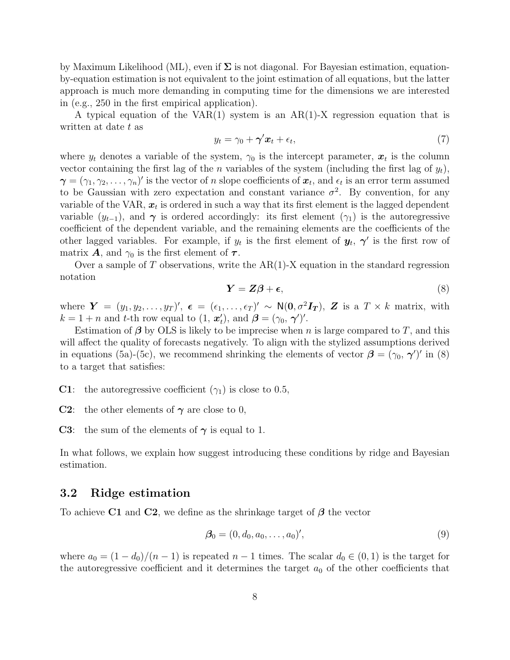by Maximum Likelihood (ML), even if  $\Sigma$  is not diagonal. For Bayesian estimation, equationby-equation estimation is not equivalent to the joint estimation of all equations, but the latter approach is much more demanding in computing time for the dimensions we are interested in (e.g., 250 in the first empirical application).

A typical equation of the VAR(1) system is an  $AR(1)$ -X regression equation that is written at date t as

$$
y_t = \gamma_0 + \gamma' x_t + \epsilon_t, \tag{7}
$$

where  $y_t$  denotes a variable of the system,  $\gamma_0$  is the intercept parameter,  $x_t$  is the column vector containing the first lag of the *n* variables of the system (including the first lag of  $y_t$ ),  $\boldsymbol{\gamma}=(\gamma_1,\gamma_2,\ldots,\gamma_n)'$  is the vector of n slope coefficients of  $\boldsymbol{x}_t$ , and  $\epsilon_t$  is an error term assumed to be Gaussian with zero expectation and constant variance  $\sigma^2$ . By convention, for any variable of the VAR,  $x_t$  is ordered in such a way that its first element is the lagged dependent variable  $(y_{t-1})$ , and  $\gamma$  is ordered accordingly: its first element  $(\gamma_1)$  is the autoregressive coefficient of the dependent variable, and the remaining elements are the coefficients of the other lagged variables. For example, if  $y_t$  is the first element of  $y_t$ ,  $\gamma'$  is the first row of matrix **A**, and  $\gamma_0$  is the first element of  $\tau$ .

Over a sample of  $T$  observations, write the  $AR(1)-X$  equation in the standard regression notation

$$
Y = Z\beta + \epsilon,\tag{8}
$$

where  $\boldsymbol{Y} = (y_1, y_2, \dots, y_T)'$ ,  $\boldsymbol{\epsilon} = (\epsilon_1, \dots, \epsilon_T)' \sim \mathsf{N}(\boldsymbol{0}, \sigma^2 \boldsymbol{I_T})$ ,  $\boldsymbol{Z}$  is a  $T \times k$  matrix, with  $k = 1 + n$  and t-th row equal to  $(1, \mathbf{x}'_t)$ , and  $\boldsymbol{\beta} = (\gamma_0, \boldsymbol{\gamma}')'.$ 

Estimation of  $\beta$  by OLS is likely to be imprecise when n is large compared to T, and this will affect the quality of forecasts negatively. To align with the stylized assumptions derived in equations (5a)-(5c), we recommend shrinking the elements of vector  $\beta = (\gamma_0, \gamma')'$  in (8) to a target that satisfies:

**C1**: the autoregressive coefficient  $(\gamma_1)$  is close to 0.5,

**C2**: the other elements of  $\gamma$  are close to 0,

**C3**: the sum of the elements of  $\gamma$  is equal to 1.

In what follows, we explain how suggest introducing these conditions by ridge and Bayesian estimation.

#### 3.2 Ridge estimation

To achieve C1 and C2, we define as the shrinkage target of  $\beta$  the vector

$$
\mathcal{B}_0 = (0, d_0, a_0, \dots, a_0)',\tag{9}
$$

where  $a_0 = (1 - d_0)/(n - 1)$  is repeated  $n - 1$  times. The scalar  $d_0 \in (0, 1)$  is the target for the autoregressive coefficient and it determines the target  $a_0$  of the other coefficients that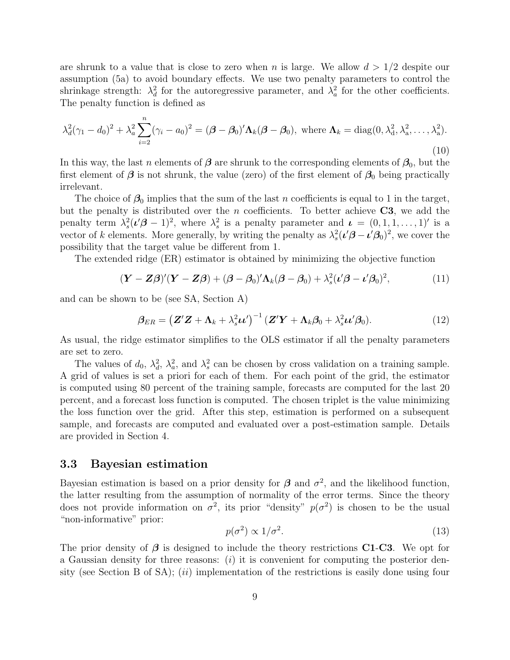are shrunk to a value that is close to zero when n is large. We allow  $d > 1/2$  despite our assumption (5a) to avoid boundary effects. We use two penalty parameters to control the shrinkage strength:  $\lambda_d^2$  for the autoregressive parameter, and  $\lambda_a^2$  for the other coefficients. The penalty function is defined as

$$
\lambda_d^2(\gamma_1 - d_0)^2 + \lambda_a^2 \sum_{i=2}^n (\gamma_i - a_0)^2 = (\boldsymbol{\beta} - \boldsymbol{\beta}_0)' \boldsymbol{\Lambda}_k (\boldsymbol{\beta} - \boldsymbol{\beta}_0), \text{ where } \boldsymbol{\Lambda}_k = \text{diag}(0, \lambda_d^2, \lambda_a^2, \dots, \lambda_a^2).
$$
\n(10)

In this way, the last n elements of  $\beta$  are shrunk to the corresponding elements of  $\beta_0$ , but the first element of  $\beta$  is not shrunk, the value (zero) of the first element of  $\beta_0$  being practically irrelevant.

The choice of  $\beta_0$  implies that the sum of the last n coefficients is equal to 1 in the target, but the penalty is distributed over the *n* coefficients. To better achieve  $C3$ , we add the penalty term  $\lambda_s^2(\nu/\beta - 1)^2$ , where  $\lambda_s^2$  is a penalty parameter and  $\mathbf{u} = (0, 1, 1, \dots, 1)$  is a vector of k elements. More generally, by writing the penalty as  $\lambda_s^2(\iota' \beta - \iota' \beta_0)^2$ , we cover the possibility that the target value be different from 1.

The extended ridge (ER) estimator is obtained by minimizing the objective function

$$
(\mathbf{Y}-\mathbf{Z}\boldsymbol{\beta})'(\mathbf{Y}-\mathbf{Z}\boldsymbol{\beta})+(\boldsymbol{\beta}-\boldsymbol{\beta}_0)'\boldsymbol{\Lambda}_k(\boldsymbol{\beta}-\boldsymbol{\beta}_0)+\lambda_s^2(\boldsymbol{\iota}'\boldsymbol{\beta}-\boldsymbol{\iota}'\boldsymbol{\beta}_0)^2,
$$
(11)

and can be shown to be (see SA, Section A)

$$
\beta_{ER} = \left( \mathbf{Z}'\mathbf{Z} + \mathbf{\Lambda}_k + \lambda_s^2 \boldsymbol{\mu}' \right)^{-1} \left( \mathbf{Z}'\mathbf{Y} + \mathbf{\Lambda}_k \boldsymbol{\beta}_0 + \lambda_s^2 \boldsymbol{\mu}' \boldsymbol{\beta}_0 \right).
$$
 (12)

As usual, the ridge estimator simplifies to the OLS estimator if all the penalty parameters are set to zero.

The values of  $d_0$ ,  $\lambda_d^2$ ,  $\lambda_a^2$ , and  $\lambda_s^2$  can be chosen by cross validation on a training sample. A grid of values is set a priori for each of them. For each point of the grid, the estimator is computed using 80 percent of the training sample, forecasts are computed for the last 20 percent, and a forecast loss function is computed. The chosen triplet is the value minimizing the loss function over the grid. After this step, estimation is performed on a subsequent sample, and forecasts are computed and evaluated over a post-estimation sample. Details are provided in Section 4.

### 3.3 Bayesian estimation

Bayesian estimation is based on a prior density for  $\beta$  and  $\sigma^2$ , and the likelihood function, the latter resulting from the assumption of normality of the error terms. Since the theory does not provide information on  $\sigma^2$ , its prior "density"  $p(\sigma^2)$  is chosen to be the usual "non-informative" prior:

$$
p(\sigma^2) \propto 1/\sigma^2. \tag{13}
$$

The prior density of  $\beta$  is designed to include the theory restrictions **C1-C3**. We opt for a Gaussian density for three reasons: (i) it is convenient for computing the posterior density (see Section B of SA); (ii) implementation of the restrictions is easily done using four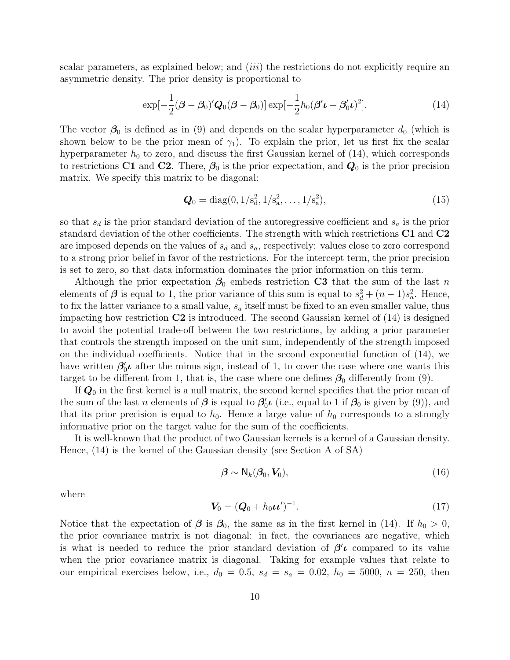scalar parameters, as explained below; and *(iii)* the restrictions do not explicitly require an asymmetric density. The prior density is proportional to

$$
\exp[-\frac{1}{2}(\boldsymbol{\beta}-\boldsymbol{\beta}_0)' \boldsymbol{Q}_0(\boldsymbol{\beta}-\boldsymbol{\beta}_0)] \exp[-\frac{1}{2}h_0(\boldsymbol{\beta'}\boldsymbol{\iota}-\boldsymbol{\beta}_0'\boldsymbol{\iota})^2].
$$
\n(14)

The vector  $\beta_0$  is defined as in (9) and depends on the scalar hyperparameter  $d_0$  (which is shown below to be the prior mean of  $\gamma_1$ ). To explain the prior, let us first fix the scalar hyperparameter  $h_0$  to zero, and discuss the first Gaussian kernel of  $(14)$ , which corresponds to restrictions C1 and C2. There,  $\beta_0$  is the prior expectation, and  $Q_0$  is the prior precision matrix. We specify this matrix to be diagonal:

$$
\mathbf{Q}_0 = \text{diag}(0, 1/s_d^2, 1/s_a^2, \dots, 1/s_a^2),\tag{15}
$$

so that  $s_d$  is the prior standard deviation of the autoregressive coefficient and  $s_a$  is the prior standard deviation of the other coefficients. The strength with which restrictions C1 and C2 are imposed depends on the values of  $s_d$  and  $s_a$ , respectively: values close to zero correspond to a strong prior belief in favor of the restrictions. For the intercept term, the prior precision is set to zero, so that data information dominates the prior information on this term.

Although the prior expectation  $\beta_0$  embeds restriction C3 that the sum of the last n elements of  $\beta$  is equal to 1, the prior variance of this sum is equal to  $s_d^2 + (n-1)s_a^2$ . Hence, to fix the latter variance to a small value,  $s_a$  itself must be fixed to an even smaller value, thus impacting how restriction  $C2$  is introduced. The second Gaussian kernel of  $(14)$  is designed to avoid the potential trade-off between the two restrictions, by adding a prior parameter that controls the strength imposed on the unit sum, independently of the strength imposed on the individual coefficients. Notice that in the second exponential function of (14), we have written  $\beta'_0\iota$  after the minus sign, instead of 1, to cover the case where one wants this target to be different from 1, that is, the case where one defines  $\beta_0$  differently from (9).

If  $Q_0$  in the first kernel is a null matrix, the second kernel specifies that the prior mean of the sum of the last n elements of  $\beta$  is equal to  $\beta'_0 \iota$  (i.e., equal to 1 if  $\beta_0$  is given by (9)), and that its prior precision is equal to  $h_0$ . Hence a large value of  $h_0$  corresponds to a strongly informative prior on the target value for the sum of the coefficients.

It is well-known that the product of two Gaussian kernels is a kernel of a Gaussian density. Hence, (14) is the kernel of the Gaussian density (see Section A of SA)

$$
\boldsymbol{\beta} \sim \mathsf{N}_k(\boldsymbol{\beta}_0, \mathbf{V}_0),\tag{16}
$$

where

$$
V_0 = (Q_0 + h_0 \nu')^{-1}.
$$
\n(17)

Notice that the expectation of  $\beta$  is  $\beta_0$ , the same as in the first kernel in (14). If  $h_0 > 0$ , the prior covariance matrix is not diagonal: in fact, the covariances are negative, which is what is needed to reduce the prior standard deviation of  $\beta'$  compared to its value when the prior covariance matrix is diagonal. Taking for example values that relate to our empirical exercises below, i.e.,  $d_0 = 0.5$ ,  $s_d = s_a = 0.02$ ,  $h_0 = 5000$ ,  $n = 250$ , then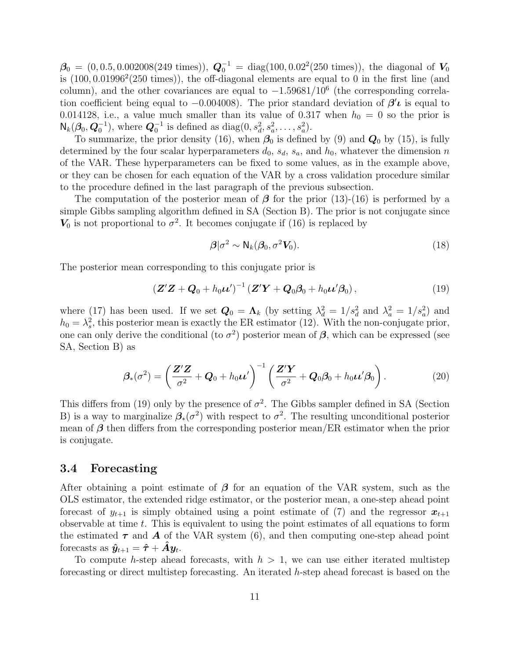$\beta_0 = (0, 0.5, 0.002008(249 \text{ times})), \ \mathbf{Q}_0^{-1} = \text{diag}(100, 0.02^2(250 \text{ times})), \text{ the diagonal of } \mathbf{V}_0$ is  $(100, 0.01996<sup>2</sup>(250 times))$ , the off-diagonal elements are equal to 0 in the first line (and column), and the other covariances are equal to  $-1.59681/10^6$  (the corresponding correlation coefficient being equal to  $-0.004008$ ). The prior standard deviation of  $\beta'$ *l* is equal to 0.014128, i.e., a value much smaller than its value of 0.317 when  $h_0 = 0$  so the prior is  $N_k(\mathcal{B}_0, \mathbf{Q}_0^{-1}),$  where  $\mathbf{Q}_0^{-1}$  is defined as  $diag(0, s_d^2, s_a^2, \dots, s_a^2).$ 

To summarize, the prior density (16), when  $\beta_0$  is defined by (9) and  $\mathbf{Q}_0$  by (15), is fully determined by the four scalar hyperparameters  $d_0$ ,  $s_d$ ,  $s_a$ , and  $h_0$ , whatever the dimension n of the VAR. These hyperparameters can be fixed to some values, as in the example above, or they can be chosen for each equation of the VAR by a cross validation procedure similar to the procedure defined in the last paragraph of the previous subsection.

The computation of the posterior mean of  $\beta$  for the prior (13)-(16) is performed by a simple Gibbs sampling algorithm defined in SA (Section B). The prior is not conjugate since  $V_0$  is not proportional to  $\sigma^2$ . It becomes conjugate if (16) is replaced by

$$
\beta|\sigma^2 \sim N_k(\beta_0, \sigma^2 V_0). \tag{18}
$$

The posterior mean corresponding to this conjugate prior is

$$
\left(\mathbf{Z}'\mathbf{Z}+\mathbf{Q}_0+h_0\boldsymbol{\mu}'\right)^{-1}\left(\mathbf{Z}'\mathbf{Y}+\mathbf{Q}_0\boldsymbol{\beta}_0+h_0\boldsymbol{\mu}'\boldsymbol{\beta}_0\right),\tag{19}
$$

where (17) has been used. If we set  $Q_0 = \Lambda_k$  (by setting  $\lambda_d^2 = 1/s_d^2$  and  $\lambda_a^2 = 1/s_a^2$ ) and  $h_0 = \lambda_s^2$ , this posterior mean is exactly the ER estimator (12). With the non-conjugate prior, one can only derive the conditional (to  $\sigma^2$ ) posterior mean of  $\beta$ , which can be expressed (see SA, Section B) as

$$
\boldsymbol{\beta}_{*}(\sigma^2) = \left(\frac{\mathbf{Z}'\mathbf{Z}}{\sigma^2} + \mathbf{Q}_0 + h_0\boldsymbol{\mu}'\right)^{-1} \left(\frac{\mathbf{Z}'\mathbf{Y}}{\sigma^2} + \mathbf{Q}_0\boldsymbol{\beta}_0 + h_0\boldsymbol{\mu}'\boldsymbol{\beta}_0\right).
$$
 (20)

This differs from (19) only by the presence of  $\sigma^2$ . The Gibbs sampler defined in SA (Section B) is a way to marginalize  $\beta_*(\sigma^2)$  with respect to  $\sigma^2$ . The resulting unconditional posterior mean of  $\beta$  then differs from the corresponding posterior mean/ER estimator when the prior is conjugate.

#### 3.4 Forecasting

After obtaining a point estimate of  $\beta$  for an equation of the VAR system, such as the OLS estimator, the extended ridge estimator, or the posterior mean, a one-step ahead point forecast of  $y_{t+1}$  is simply obtained using a point estimate of (7) and the regressor  $x_{t+1}$ observable at time  $t$ . This is equivalent to using the point estimates of all equations to form the estimated  $\tau$  and  $\vec{A}$  of the VAR system (6), and then computing one-step ahead point forecasts as  $\hat{\boldsymbol{y}}_{t+1} = \hat{\boldsymbol{\tau}} + \hat{\boldsymbol{A}} \boldsymbol{y}_t$ .

To compute h-step ahead forecasts, with  $h > 1$ , we can use either iterated multistep forecasting or direct multistep forecasting. An iterated  $h$ -step ahead forecast is based on the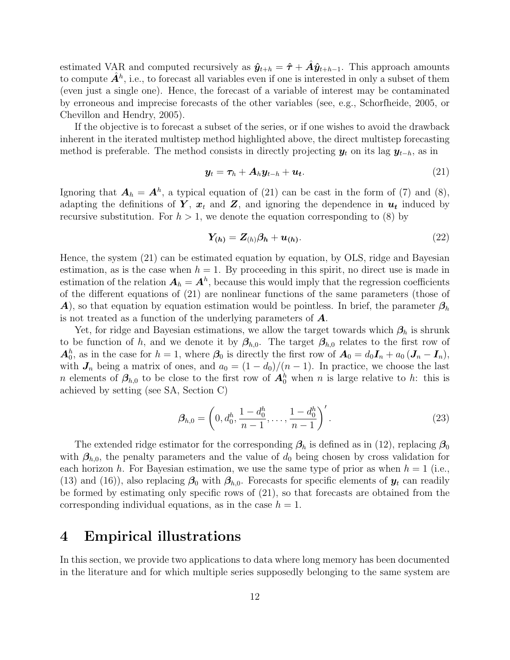estimated VAR and computed recursively as  $\hat{y}_{t+h} = \hat{\tau} + \hat{A}\hat{y}_{t+h-1}$ . This approach amounts to compute  $\hat{A}^h$ , i.e., to forecast all variables even if one is interested in only a subset of them (even just a single one). Hence, the forecast of a variable of interest may be contaminated by erroneous and imprecise forecasts of the other variables (see, e.g., Schorfheide, 2005, or Chevillon and Hendry, 2005).

If the objective is to forecast a subset of the series, or if one wishes to avoid the drawback inherent in the iterated multistep method highlighted above, the direct multistep forecasting method is preferable. The method consists in directly projecting  $y_t$  on its lag  $y_{t-h}$ , as in

$$
\mathbf{y}_t = \boldsymbol{\tau}_h + \boldsymbol{A}_h \mathbf{y}_{t-h} + \boldsymbol{u}_t. \tag{21}
$$

Ignoring that  $A_h = A^h$ , a typical equation of (21) can be cast in the form of (7) and (8), adapting the definitions of  $Y, x_t$  and  $Z$ , and ignoring the dependence in  $u_t$  induced by recursive substitution. For  $h > 1$ , we denote the equation corresponding to (8) by

$$
Y_{(h)} = Z_{(h)}\beta_h + u_{(h)}.\tag{22}
$$

Hence, the system (21) can be estimated equation by equation, by OLS, ridge and Bayesian estimation, as is the case when  $h = 1$ . By proceeding in this spirit, no direct use is made in estimation of the relation  $A_h = A^h$ , because this would imply that the regression coefficients of the different equations of (21) are nonlinear functions of the same parameters (those of A), so that equation by equation estimation would be pointless. In brief, the parameter  $\beta_h$ is not treated as a function of the underlying parameters of  $\boldsymbol{A}$ .

Yet, for ridge and Bayesian estimations, we allow the target towards which  $\beta_h$  is shrunk to be function of h, and we denote it by  $\beta_{h,0}$ . The target  $\beta_{h,0}$  relates to the first row of  $A_0^h$ , as in the case for  $h = 1$ , where  $\beta_0$  is directly the first row of  $A_0 = d_0 I_n + a_0 (J_n - I_n)$ , with  $J_n$  being a matrix of ones, and  $a_0 = (1 - d_0)/(n - 1)$ . In practice, we choose the last n elements of  $\beta_{h,0}$  to be close to the first row of  $A_0^h$  when n is large relative to h: this is achieved by setting (see SA, Section C)

$$
\beta_{h,0} = \left(0, d_0^h, \frac{1 - d_0^h}{n - 1}, \dots, \frac{1 - d_0^h}{n - 1}\right)'.
$$
\n(23)

The extended ridge estimator for the corresponding  $\beta_h$  is defined as in (12), replacing  $\beta_0$ with  $\beta_{h,0}$ , the penalty parameters and the value of  $d_0$  being chosen by cross validation for each horizon h. For Bayesian estimation, we use the same type of prior as when  $h = 1$  (i.e., (13) and (16)), also replacing  $\beta_0$  with  $\beta_{h,0}$ . Forecasts for specific elements of  $y_t$  can readily be formed by estimating only specific rows of (21), so that forecasts are obtained from the corresponding individual equations, as in the case  $h = 1$ .

### 4 Empirical illustrations

In this section, we provide two applications to data where long memory has been documented in the literature and for which multiple series supposedly belonging to the same system are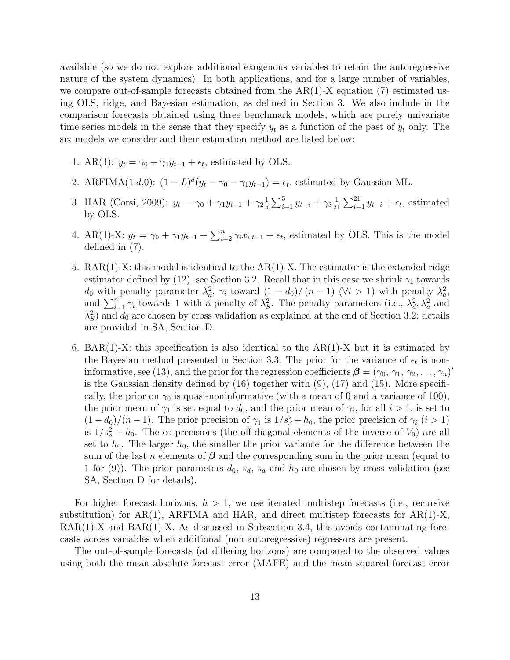available (so we do not explore additional exogenous variables to retain the autoregressive nature of the system dynamics). In both applications, and for a large number of variables, we compare out-of-sample forecasts obtained from the  $AR(1)$ -X equation (7) estimated using OLS, ridge, and Bayesian estimation, as defined in Section 3. We also include in the comparison forecasts obtained using three benchmark models, which are purely univariate time series models in the sense that they specify  $y_t$  as a function of the past of  $y_t$  only. The six models we consider and their estimation method are listed below:

- 1. AR(1):  $y_t = \gamma_0 + \gamma_1 y_{t-1} + \epsilon_t$ , estimated by OLS.
- 2. ARFIMA(1,d,0):  $(1 L)^d (y_t \gamma_0 \gamma_1 y_{t-1}) = \epsilon_t$ , estimated by Gaussian ML.
- 3. HAR (Corsi, 2009):  $y_t = \gamma_0 + \gamma_1 y_{t-1} + \gamma_2 \frac{1}{5}$  $\frac{1}{5}\sum_{i=1}^5 y_{t-i} + \gamma_3 \frac{1}{2!}$  $\frac{1}{21}\sum_{i=1}^{21} y_{t-i} + \epsilon_t$ , estimated by OLS.
- 4. AR(1)-X:  $y_t = \gamma_0 + \gamma_1 y_{t-1} + \sum_{i=2}^n \gamma_i x_{i,t-1} + \epsilon_t$ , estimated by OLS. This is the model defined in (7).
- 5.  $\text{RAR}(1)$ -X: this model is identical to the  $\text{AR}(1)$ -X. The estimator is the extended ridge estimator defined by (12), see Section 3.2. Recall that in this case we shrink  $\gamma_1$  towards  $d_0$  with penalty parameter  $\lambda_d^2$ ,  $\gamma_i$  toward  $(1-d_0)/(n-1)$  ( $\forall i > 1$ ) with penalty  $\lambda_d^2$ , and  $\sum_{i=1}^{n} \gamma_i$  towards 1 with a penalty of  $\lambda_S^2$ . The penalty parameters (i.e.,  $\lambda_d^2$ ,  $\lambda_a^2$  and  $\lambda_S^2$ ) and  $d_0$  are chosen by cross validation as explained at the end of Section 3.2; details are provided in SA, Section D.
- 6. BAR(1)-X: this specification is also identical to the  $AR(1)$ -X but it is estimated by the Bayesian method presented in Section 3.3. The prior for the variance of  $\epsilon_t$  is noninformative, see (13), and the prior for the regression coefficients  $\boldsymbol{\beta} = (\gamma_0, \gamma_1, \gamma_2, \dots, \gamma_n)'$ is the Gaussian density defined by  $(16)$  together with  $(9)$ ,  $(17)$  and  $(15)$ . More specifically, the prior on  $\gamma_0$  is quasi-noninformative (with a mean of 0 and a variance of 100), the prior mean of  $\gamma_1$  is set equal to  $d_0$ , and the prior mean of  $\gamma_i$ , for all  $i > 1$ , is set to  $(1-d_0)/(n-1)$ . The prior precision of  $\gamma_1$  is  $1/s_d^2 + h_0$ , the prior precision of  $\gamma_i$   $(i > 1)$ is  $1/s_a^2 + h_0$ . The co-precisions (the off-diagonal elements of the inverse of  $V_0$ ) are all set to  $h_0$ . The larger  $h_0$ , the smaller the prior variance for the difference between the sum of the last n elements of  $\beta$  and the corresponding sum in the prior mean (equal to 1 for (9)). The prior parameters  $d_0$ ,  $s_d$ ,  $s_a$  and  $h_0$  are chosen by cross validation (see SA, Section D for details).

For higher forecast horizons,  $h > 1$ , we use iterated multistep forecasts (i.e., recursive substitution) for  $AR(1)$ ,  $ARFIMA$  and  $HAR$ , and direct multistep forecasts for  $AR(1)-X$ , RAR(1)-X and BAR(1)-X. As discussed in Subsection 3.4, this avoids contaminating forecasts across variables when additional (non autoregressive) regressors are present.

The out-of-sample forecasts (at differing horizons) are compared to the observed values using both the mean absolute forecast error (MAFE) and the mean squared forecast error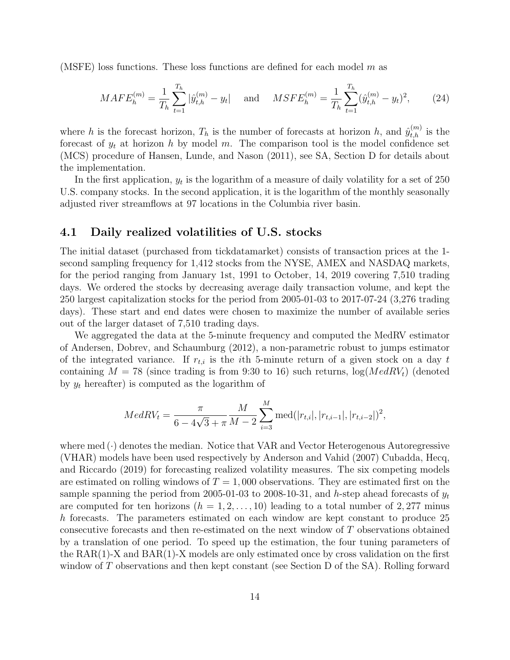(MSFE) loss functions. These loss functions are defined for each model  $m$  as

$$
MAFE_h^{(m)} = \frac{1}{T_h} \sum_{t=1}^{T_h} |\hat{y}_{t,h}^{(m)} - y_t| \quad \text{and} \quad MSE_{h}^{(m)} = \frac{1}{T_h} \sum_{t=1}^{T_h} (\hat{y}_{t,h}^{(m)} - y_t)^2, \tag{24}
$$

where h is the forecast horizon,  $T_h$  is the number of forecasts at horizon h, and  $\hat{y}_{t,h}^{(m)}$  is the forecast of  $y_t$  at horizon h by model m. The comparison tool is the model confidence set (MCS) procedure of Hansen, Lunde, and Nason (2011), see SA, Section D for details about the implementation.

In the first application,  $y_t$  is the logarithm of a measure of daily volatility for a set of 250 U.S. company stocks. In the second application, it is the logarithm of the monthly seasonally adjusted river streamflows at 97 locations in the Columbia river basin.

#### 4.1 Daily realized volatilities of U.S. stocks

The initial dataset (purchased from tickdatamarket) consists of transaction prices at the 1 second sampling frequency for 1,412 stocks from the NYSE, AMEX and NASDAQ markets, for the period ranging from January 1st, 1991 to October, 14, 2019 covering 7,510 trading days. We ordered the stocks by decreasing average daily transaction volume, and kept the 250 largest capitalization stocks for the period from 2005-01-03 to 2017-07-24 (3,276 trading days). These start and end dates were chosen to maximize the number of available series out of the larger dataset of 7,510 trading days.

We aggregated the data at the 5-minute frequency and computed the MedRV estimator of Andersen, Dobrev, and Schaumburg (2012), a non-parametric robust to jumps estimator of the integrated variance. If  $r_{t,i}$  is the *i*th 5-minute return of a given stock on a day t containing  $M = 78$  (since trading is from 9:30 to 16) such returns,  $log(MedRV<sub>t</sub>)$  (denoted by  $y_t$  hereafter) is computed as the logarithm of

$$
MedRV_{t} = \frac{\pi}{6 - 4\sqrt{3} + \pi} \frac{M}{M - 2} \sum_{i=3}^{M} \text{med}(|r_{t,i}|, |r_{t,i-1}|, |r_{t,i-2}|)^{2},
$$

where  $med(\cdot)$  denotes the median. Notice that VAR and Vector Heterogenous Autoregressive (VHAR) models have been used respectively by Anderson and Vahid (2007) Cubadda, Hecq, and Riccardo (2019) for forecasting realized volatility measures. The six competing models are estimated on rolling windows of  $T = 1,000$  observations. They are estimated first on the sample spanning the period from 2005-01-03 to 2008-10-31, and h-step ahead forecasts of  $y_t$ are computed for ten horizons  $(h = 1, 2, \ldots, 10)$  leading to a total number of 2,277 minus h forecasts. The parameters estimated on each window are kept constant to produce 25 consecutive forecasts and then re-estimated on the next window of T observations obtained by a translation of one period. To speed up the estimation, the four tuning parameters of the  $RAR(1)-X$  and  $BAR(1)-X$  models are only estimated once by cross validation on the first window of T observations and then kept constant (see Section D of the SA). Rolling forward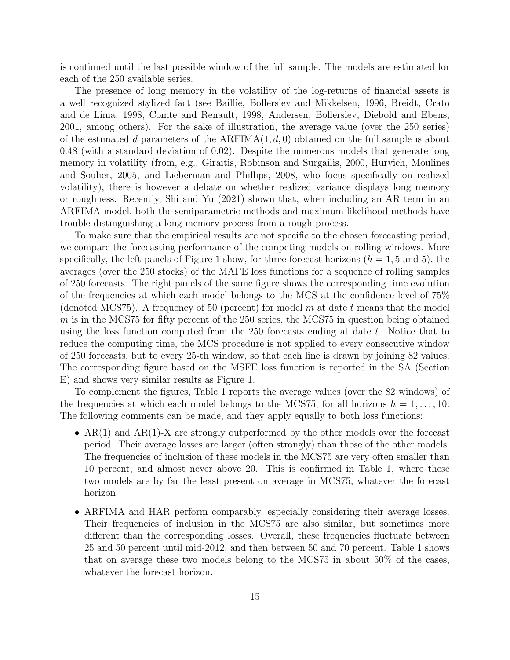is continued until the last possible window of the full sample. The models are estimated for each of the 250 available series.

The presence of long memory in the volatility of the log-returns of financial assets is a well recognized stylized fact (see Baillie, Bollerslev and Mikkelsen, 1996, Breidt, Crato and de Lima, 1998, Comte and Renault, 1998, Andersen, Bollerslev, Diebold and Ebens, 2001, among others). For the sake of illustration, the average value (over the 250 series) of the estimated d parameters of the  $ARFIMA(1, d, 0)$  obtained on the full sample is about 0.48 (with a standard deviation of 0.02). Despite the numerous models that generate long memory in volatility (from, e.g., Giraitis, Robinson and Surgailis, 2000, Hurvich, Moulines and Soulier, 2005, and Lieberman and Phillips, 2008, who focus specifically on realized volatility), there is however a debate on whether realized variance displays long memory or roughness. Recently, Shi and Yu (2021) shown that, when including an AR term in an ARFIMA model, both the semiparametric methods and maximum likelihood methods have trouble distinguishing a long memory process from a rough process.

To make sure that the empirical results are not specific to the chosen forecasting period, we compare the forecasting performance of the competing models on rolling windows. More specifically, the left panels of Figure 1 show, for three forecast horizons  $(h = 1, 5 \text{ and } 5)$ , the averages (over the 250 stocks) of the MAFE loss functions for a sequence of rolling samples of 250 forecasts. The right panels of the same figure shows the corresponding time evolution of the frequencies at which each model belongs to the MCS at the confidence level of 75% (denoted MCS75). A frequency of 50 (percent) for model m at date t means that the model m is in the MCS75 for fifty percent of the 250 series, the MCS75 in question being obtained using the loss function computed from the  $250$  forecasts ending at date t. Notice that to reduce the computing time, the MCS procedure is not applied to every consecutive window of 250 forecasts, but to every 25-th window, so that each line is drawn by joining 82 values. The corresponding figure based on the MSFE loss function is reported in the SA (Section E) and shows very similar results as Figure 1.

To complement the figures, Table 1 reports the average values (over the 82 windows) of the frequencies at which each model belongs to the MCS75, for all horizons  $h = 1, \ldots, 10$ . The following comments can be made, and they apply equally to both loss functions:

- AR(1) and AR(1)-X are strongly outperformed by the other models over the forecast period. Their average losses are larger (often strongly) than those of the other models. The frequencies of inclusion of these models in the MCS75 are very often smaller than 10 percent, and almost never above 20. This is confirmed in Table 1, where these two models are by far the least present on average in MCS75, whatever the forecast horizon.
- ARFIMA and HAR perform comparably, especially considering their average losses. Their frequencies of inclusion in the MCS75 are also similar, but sometimes more different than the corresponding losses. Overall, these frequencies fluctuate between 25 and 50 percent until mid-2012, and then between 50 and 70 percent. Table 1 shows that on average these two models belong to the MCS75 in about 50% of the cases, whatever the forecast horizon.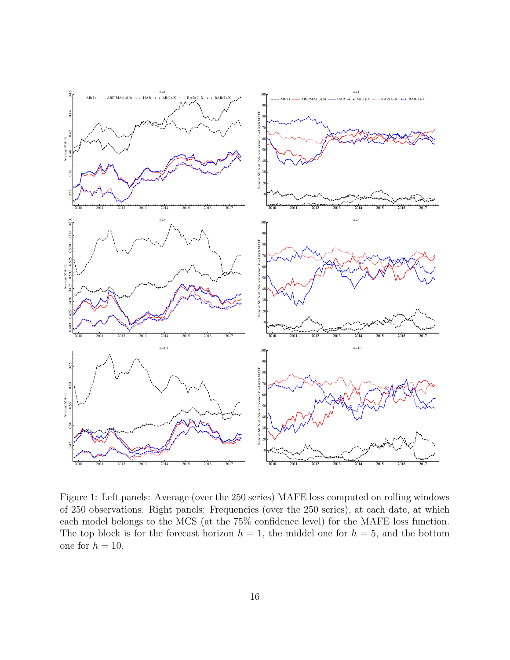

Figure 1: Left panels: Average (over the 250 series) MAFE loss computed on rolling windows of 250 observations. Right panels: Frequencies (over the 250 series), at each date, at which each model belongs to the MCS (at the 75% confidence level) for the MAFE loss function. The top block is for the forecast horizon  $h = 1$ , the middel one for  $h = 5$ , and the bottom one for  $h = 10$ .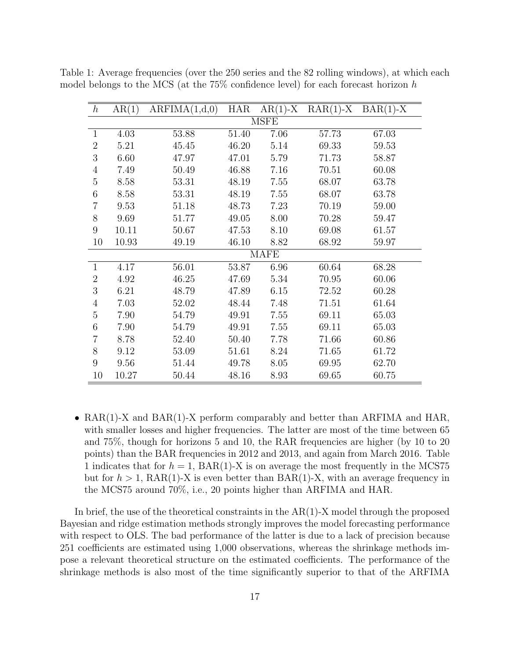| $\boldsymbol{h}$ | AR(1)       | ARFIMA(1,d,0) | <b>HAR</b> | $AR(1)-X$ | $RAR(1)-X$ | $BAR(1)-X$ |  |
|------------------|-------------|---------------|------------|-----------|------------|------------|--|
|                  | <b>MSFE</b> |               |            |           |            |            |  |
| $\mathbf{1}$     | 4.03        | 53.88         | 51.40      | 7.06      | 57.73      | 67.03      |  |
| $\overline{2}$   | 5.21        | 45.45         | 46.20      | 5.14      | 69.33      | 59.53      |  |
| 3                | 6.60        | 47.97         | 47.01      | 5.79      | 71.73      | 58.87      |  |
| 4                | 7.49        | 50.49         | 46.88      | 7.16      | 70.51      | 60.08      |  |
| $\overline{5}$   | 8.58        | 53.31         | 48.19      | 7.55      | 68.07      | 63.78      |  |
| 6                | 8.58        | 53.31         | 48.19      | 7.55      | 68.07      | 63.78      |  |
| $\overline{7}$   | 9.53        | 51.18         | 48.73      | 7.23      | 70.19      | 59.00      |  |
| 8                | 9.69        | 51.77         | 49.05      | 8.00      | 70.28      | 59.47      |  |
| 9                | 10.11       | 50.67         | 47.53      | 8.10      | 69.08      | 61.57      |  |
| 10               | 10.93       | 49.19         | 46.10      | 8.82      | 68.92      | 59.97      |  |
| <b>MAFE</b>      |             |               |            |           |            |            |  |
| $\mathbf{1}$     | 4.17        | 56.01         | 53.87      | 6.96      | 60.64      | 68.28      |  |
| $\overline{2}$   | 4.92        | 46.25         | 47.69      | 5.34      | 70.95      | 60.06      |  |
| 3                | 6.21        | 48.79         | 47.89      | 6.15      | 72.52      | 60.28      |  |
| $\overline{4}$   | 7.03        | 52.02         | 48.44      | 7.48      | 71.51      | 61.64      |  |
| 5                | 7.90        | 54.79         | 49.91      | 7.55      | 69.11      | 65.03      |  |
| 6                | 7.90        | 54.79         | 49.91      | 7.55      | 69.11      | 65.03      |  |
| $\overline{7}$   | 8.78        | 52.40         | 50.40      | 7.78      | 71.66      | 60.86      |  |
| 8                | 9.12        | 53.09         | 51.61      | 8.24      | 71.65      | 61.72      |  |
| 9                | 9.56        | 51.44         | 49.78      | 8.05      | 69.95      | 62.70      |  |
| 10               | 10.27       | 50.44         | 48.16      | 8.93      | 69.65      | 60.75      |  |

Table 1: Average frequencies (over the 250 series and the 82 rolling windows), at which each model belongs to the MCS (at the  $75\%$  confidence level) for each forecast horizon h

• RAR(1)-X and BAR(1)-X perform comparably and better than ARFIMA and HAR, with smaller losses and higher frequencies. The latter are most of the time between 65 and 75%, though for horizons 5 and 10, the RAR frequencies are higher (by 10 to 20 points) than the BAR frequencies in 2012 and 2013, and again from March 2016. Table 1 indicates that for  $h = 1$ ,  $\text{BAR}(1)$ -X is on average the most frequently in the MCS75 but for  $h > 1$ , RAR(1)-X is even better than BAR(1)-X, with an average frequency in the MCS75 around 70%, i.e., 20 points higher than ARFIMA and HAR.

In brief, the use of the theoretical constraints in the  $AR(1)$ -X model through the proposed Bayesian and ridge estimation methods strongly improves the model forecasting performance with respect to OLS. The bad performance of the latter is due to a lack of precision because 251 coefficients are estimated using 1,000 observations, whereas the shrinkage methods impose a relevant theoretical structure on the estimated coefficients. The performance of the shrinkage methods is also most of the time significantly superior to that of the ARFIMA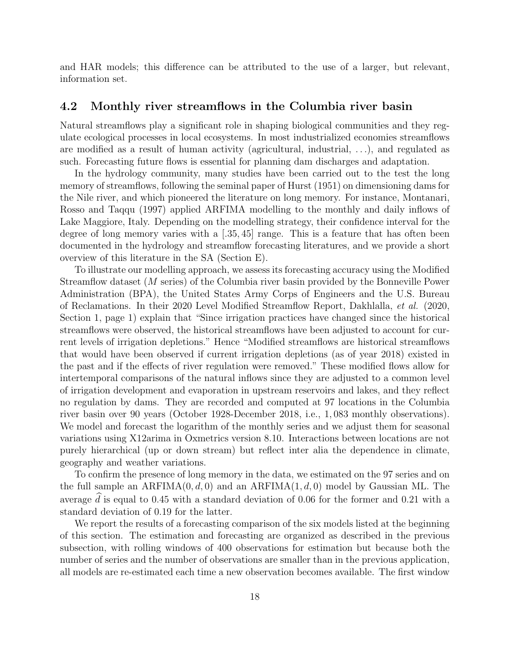and HAR models; this difference can be attributed to the use of a larger, but relevant, information set.

#### 4.2 Monthly river streamflows in the Columbia river basin

Natural streamflows play a significant role in shaping biological communities and they regulate ecological processes in local ecosystems. In most industrialized economies streamflows are modified as a result of human activity (agricultural, industrial, . . .), and regulated as such. Forecasting future flows is essential for planning dam discharges and adaptation.

In the hydrology community, many studies have been carried out to the test the long memory of streamflows, following the seminal paper of Hurst (1951) on dimensioning dams for the Nile river, and which pioneered the literature on long memory. For instance, Montanari, Rosso and Taqqu (1997) applied ARFIMA modelling to the monthly and daily inflows of Lake Maggiore, Italy. Depending on the modelling strategy, their confidence interval for the degree of long memory varies with a  $(.35, 45]$  range. This is a feature that has often been documented in the hydrology and streamflow forecasting literatures, and we provide a short overview of this literature in the SA (Section E).

To illustrate our modelling approach, we assess its forecasting accuracy using the Modified Streamflow dataset (M series) of the Columbia river basin provided by the Bonneville Power Administration (BPA), the United States Army Corps of Engineers and the U.S. Bureau of Reclamations. In their 2020 Level Modified Streamflow Report, Dakhlalla, et al. (2020, Section 1, page 1) explain that "Since irrigation practices have changed since the historical streamflows were observed, the historical streamflows have been adjusted to account for current levels of irrigation depletions." Hence "Modified streamflows are historical streamflows that would have been observed if current irrigation depletions (as of year 2018) existed in the past and if the effects of river regulation were removed." These modified flows allow for intertemporal comparisons of the natural inflows since they are adjusted to a common level of irrigation development and evaporation in upstream reservoirs and lakes, and they reflect no regulation by dams. They are recorded and computed at 97 locations in the Columbia river basin over 90 years (October 1928-December 2018, i.e., 1, 083 monthly observations). We model and forecast the logarithm of the monthly series and we adjust them for seasonal variations using X12arima in Oxmetrics version 8.10. Interactions between locations are not purely hierarchical (up or down stream) but reflect inter alia the dependence in climate, geography and weather variations.

To confirm the presence of long memory in the data, we estimated on the 97 series and on the full sample an  $ARFIMA(0, d, 0)$  and an  $ARFIMA(1, d, 0)$  model by Gaussian ML. The average  $d$  is equal to 0.45 with a standard deviation of 0.06 for the former and 0.21 with a standard deviation of 0.19 for the latter.

We report the results of a forecasting comparison of the six models listed at the beginning of this section. The estimation and forecasting are organized as described in the previous subsection, with rolling windows of 400 observations for estimation but because both the number of series and the number of observations are smaller than in the previous application, all models are re-estimated each time a new observation becomes available. The first window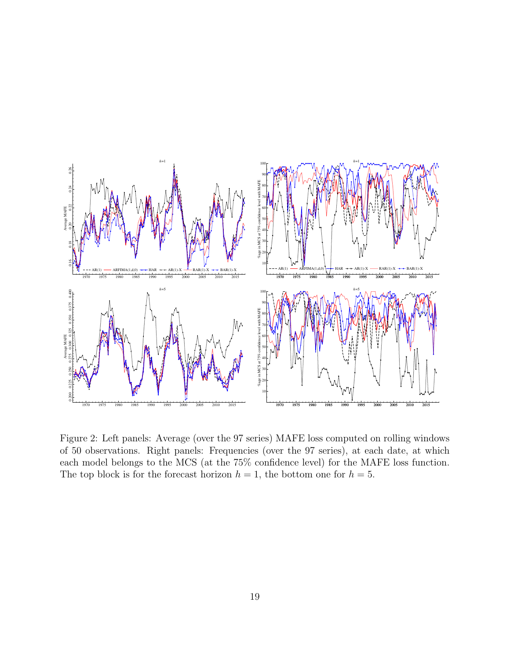

Figure 2: Left panels: Average (over the 97 series) MAFE loss computed on rolling windows of 50 observations. Right panels: Frequencies (over the 97 series), at each date, at which each model belongs to the MCS (at the 75% confidence level) for the MAFE loss function. The top block is for the forecast horizon  $h = 1$ , the bottom one for  $h = 5$ .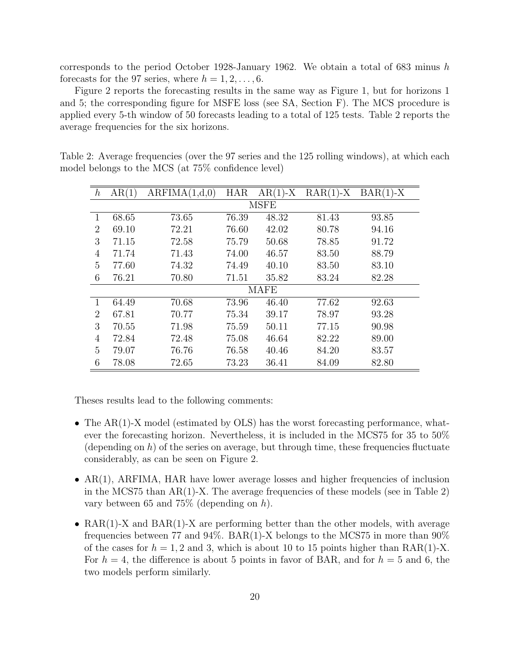corresponds to the period October 1928-January 1962. We obtain a total of 683 minus h forecasts for the 97 series, where  $h = 1, 2, \ldots, 6$ .

Figure 2 reports the forecasting results in the same way as Figure 1, but for horizons 1 and 5; the corresponding figure for MSFE loss (see SA, Section F). The MCS procedure is applied every 5-th window of 50 forecasts leading to a total of 125 tests. Table 2 reports the average frequencies for the six horizons.

| $\boldsymbol{h}$ | AR(1) | ARFIMA(1,d,0) | <b>HAR</b> | $AR(1)-X$ | $RAR(1)-X$ | $BAR(1)-X$ |  |
|------------------|-------|---------------|------------|-----------|------------|------------|--|
| <b>MSFE</b>      |       |               |            |           |            |            |  |
| 1                | 68.65 | 73.65         | 76.39      | 48.32     | 81.43      | 93.85      |  |
| 2                | 69.10 | 72.21         | 76.60      | 42.02     | 80.78      | 94.16      |  |
| 3                | 71.15 | 72.58         | 75.79      | 50.68     | 78.85      | 91.72      |  |
| 4                | 71.74 | 71.43         | 74.00      | 46.57     | 83.50      | 88.79      |  |
| 5                | 77.60 | 74.32         | 74.49      | 40.10     | 83.50      | 83.10      |  |
| 6                | 76.21 | 70.80         | 71.51      | 35.82     | 83.24      | 82.28      |  |
| <b>MAFE</b>      |       |               |            |           |            |            |  |
| 1                | 64.49 | 70.68         | 73.96      | 46.40     | 77.62      | 92.63      |  |
| $\overline{2}$   | 67.81 | 70.77         | 75.34      | 39.17     | 78.97      | 93.28      |  |
| 3                | 70.55 | 71.98         | 75.59      | 50.11     | 77.15      | 90.98      |  |
| 4                | 72.84 | 72.48         | 75.08      | 46.64     | 82.22      | 89.00      |  |
| 5                | 79.07 | 76.76         | 76.58      | 40.46     | 84.20      | 83.57      |  |
| 6                | 78.08 | 72.65         | 73.23      | 36.41     | 84.09      | 82.80      |  |

Table 2: Average frequencies (over the 97 series and the 125 rolling windows), at which each model belongs to the MCS (at 75% confidence level)

Theses results lead to the following comments:

- The AR(1)-X model (estimated by OLS) has the worst forecasting performance, whatever the forecasting horizon. Nevertheless, it is included in the MCS75 for 35 to 50% (depending on h) of the series on average, but through time, these frequencies fluctuate considerably, as can be seen on Figure 2.
- AR(1), ARFIMA, HAR have lower average losses and higher frequencies of inclusion in the MCS75 than  $AR(1)-X$ . The average frequencies of these models (see in Table 2) vary between 65 and 75% (depending on h).
- RAR(1)-X and BAR(1)-X are performing better than the other models, with average frequencies between 77 and 94%. BAR(1)-X belongs to the MCS75 in more than  $90\%$ of the cases for  $h = 1, 2$  and 3, which is about 10 to 15 points higher than RAR(1)-X. For  $h = 4$ , the difference is about 5 points in favor of BAR, and for  $h = 5$  and 6, the two models perform similarly.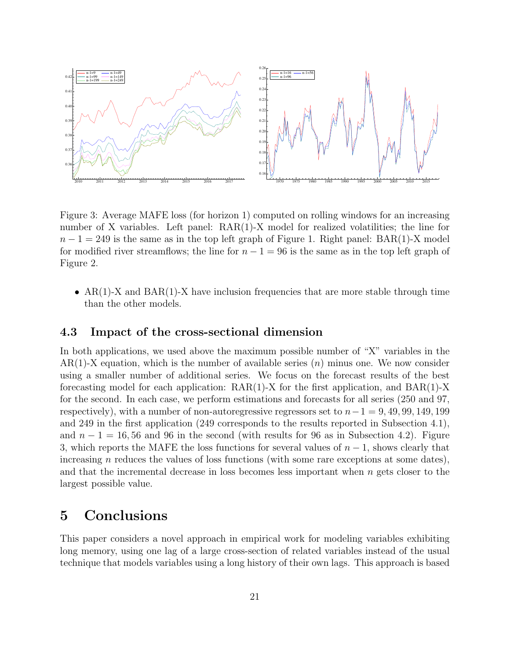

Figure 3: Average MAFE loss (for horizon 1) computed on rolling windows for an increasing number of X variables. Left panel: RAR(1)-X model for realized volatilities; the line for  $n-1 = 249$  is the same as in the top left graph of Figure 1. Right panel: BAR(1)-X model for modified river streamflows; the line for  $n - 1 = 96$  is the same as in the top left graph of Figure 2.

•  $AR(1)-X$  and  $BAR(1)-X$  have inclusion frequencies that are more stable through time than the other models.

#### 4.3 Impact of the cross-sectional dimension

In both applications, we used above the maximum possible number of "X" variables in the  $AR(1)$ -X equation, which is the number of available series  $(n)$  minus one. We now consider using a smaller number of additional series. We focus on the forecast results of the best forecasting model for each application:  $RAR(1)-X$  for the first application, and  $BAR(1)-X$ for the second. In each case, we perform estimations and forecasts for all series (250 and 97, respectively), with a number of non-autoregressive regressors set to  $n-1 = 9, 49, 99, 149, 199$ and 249 in the first application (249 corresponds to the results reported in Subsection 4.1), and  $n-1 = 16, 56$  and 96 in the second (with results for 96 as in Subsection 4.2). Figure 3, which reports the MAFE the loss functions for several values of  $n-1$ , shows clearly that increasing n reduces the values of loss functions (with some rare exceptions at some dates), and that the incremental decrease in loss becomes less important when n gets closer to the largest possible value.

### 5 Conclusions

This paper considers a novel approach in empirical work for modeling variables exhibiting long memory, using one lag of a large cross-section of related variables instead of the usual technique that models variables using a long history of their own lags. This approach is based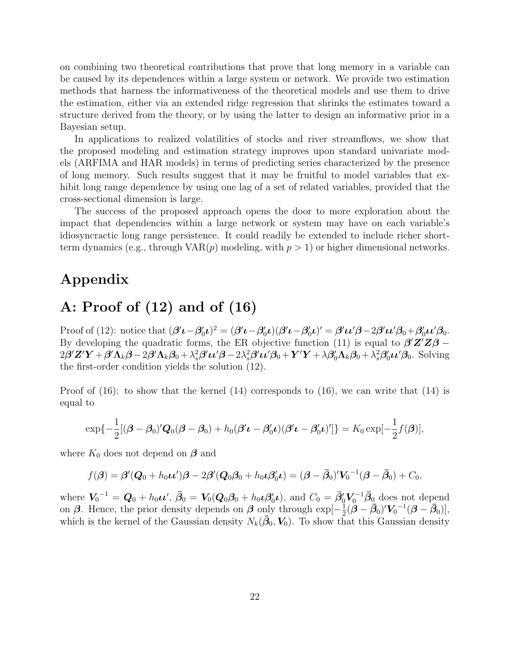on combining two theoretical contributions that prove that long memory in a variable can be caused by its dependences within a large system or network. We provide two estimation methods that harness the informativeness of the theoretical models and use them to drive the estimation, either via an extended ridge regression that shrinks the estimates toward a structure derived from the theory, or by using the latter to design an informative prior in a Bayesian setup.

In applications to realized volatilities of stocks and river streamflows, we show that the proposed modeling and estimation strategy improves upon standard univariate models (ARFIMA and HAR models) in terms of predicting series characterized by the presence of long memory. Such results suggest that it may be fruitful to model variables that exhibit long range dependence by using one lag of a set of related variables, provided that the cross-sectional dimension is large.

The success of the proposed approach opens the door to more exploration about the impact that dependencies within a large network or system may have on each variable's idiosyncractic long range persistence. It could readily be extended to include richer shortterm dynamics (e.g., through  $VAR(p)$  modeling, with  $p > 1$ ) or higher dimensional networks.

### Appendix

# A: Proof of (12) and of (16)

Proof of (12): notice that  $(\beta' \iota - \beta'_0 \iota)^2 = (\beta' \iota - \beta'_0 \iota)(\beta' \iota - \beta'_0 \iota)' = \beta' \iota \iota' \beta - 2\beta' \iota \iota' \beta_0 + \beta'_0 \iota \iota' \beta_0$ . By developing the quadratic forms, the ER objective function (11) is equal to  $\beta'Z'Z\beta$  –  $2\boldsymbol{\beta}'\mathbf{Z}'\mathbf{Y} + \boldsymbol{\beta}'\mathbf{\Lambda}_k\boldsymbol{\beta} - 2\boldsymbol{\beta}'\mathbf{\Lambda}_k\boldsymbol{\beta}_0 + \lambda_s^2\boldsymbol{\beta}'\boldsymbol{\mu}'\boldsymbol{\beta} - 2\lambda_s^2\boldsymbol{\beta}'\boldsymbol{\mu}'\boldsymbol{\beta}_0 + \mathbf{Y}'\mathbf{Y} + \lambda\boldsymbol{\beta}'_0\mathbf{\Lambda}_k\boldsymbol{\beta}_0 + \lambda_s^2\boldsymbol{\beta}'_0\boldsymbol{\mu}'\boldsymbol{\beta}_0.$  Solving the first-order condition yields the solution (12).

Proof of (16): to show that the kernel (14) corresponds to (16), we can write that (14) is equal to

$$
\exp\{-\frac{1}{2}[(\boldsymbol{\beta}-\boldsymbol{\beta}_0)'Q_0(\boldsymbol{\beta}-\boldsymbol{\beta}_0)+h_0(\boldsymbol{\beta'}\boldsymbol{\iota}-\boldsymbol{\beta}_0'\boldsymbol{\iota})(\boldsymbol{\beta'}\boldsymbol{\iota}-\boldsymbol{\beta}_0'\boldsymbol{\iota})']\} = K_0 \exp[-\frac{1}{2}f(\boldsymbol{\beta})],
$$

where  $K_0$  does not depend on  $\beta$  and

$$
f(\boldsymbol{\beta}) = \boldsymbol{\beta}'(\boldsymbol{Q}_0 + h_0\boldsymbol{\iota}\boldsymbol{\iota}')\boldsymbol{\beta} - 2\boldsymbol{\beta}'(\boldsymbol{Q}_0\boldsymbol{\beta}_0 + h_0\boldsymbol{\iota}\boldsymbol{\beta}'_0\boldsymbol{\iota}) = (\boldsymbol{\beta} - \bar{\boldsymbol{\beta}}_0)'V_0^{-1}(\boldsymbol{\beta} - \bar{\boldsymbol{\beta}}_0) + C_0,
$$

where  $V_0^{-1} = \mathbf{Q}_0 + h_0 \boldsymbol{\iota} \boldsymbol{\iota}'$ ,  $\bar{\beta}_0 = V_0(\mathbf{Q}_0\beta_0 + h_0 \boldsymbol{\iota} \beta_0' \boldsymbol{\iota})$ , and  $C_0 = \bar{\beta}_0' V_0^{-1} \bar{\beta}_0$  does not depend on  $\beta$ . Hence, the prior density depends on  $\beta$  only through  $\exp[-\frac{1}{2}]$  $\frac{1}{2}(\dot{\boldsymbol{\beta}}-\bar{\boldsymbol{\beta}_0})'\boldsymbol{V_0}^{-1}(\boldsymbol{\beta}-\bar{\boldsymbol{\beta}_0})],$ which is the kernel of the Gaussian density  $N_k(\beta_0, V_0)$ . To show that this Gaussian density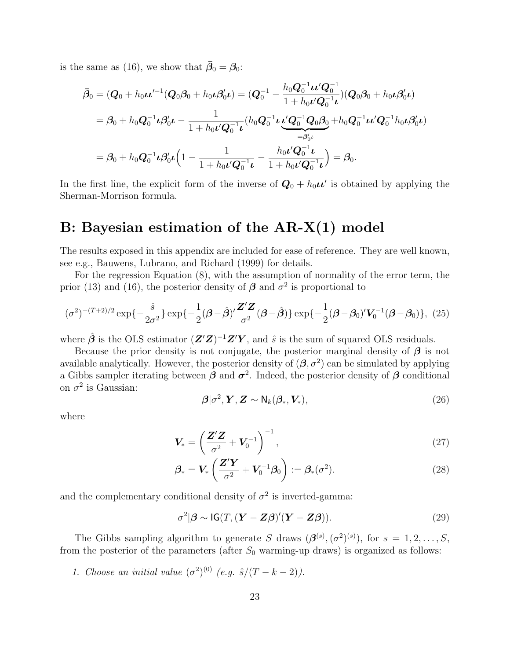is the same as (16), we show that  $\bar{\beta}_0 = \beta_0$ :

$$
\bar{\beta}_0 = (\mathbf{Q}_0 + h_0 \mathbf{u}'^{-1} (\mathbf{Q}_0 \beta_0 + h_0 \mathbf{u} \beta'_0 \mathbf{u}) = (\mathbf{Q}_0^{-1} - \frac{h_0 \mathbf{Q}_0^{-1} \mathbf{u}' \mathbf{Q}_0^{-1}}{1 + h_0 \mathbf{u}' \mathbf{Q}_0^{-1} \mathbf{u}}) (\mathbf{Q}_0 \beta_0 + h_0 \mathbf{u} \beta'_0 \mathbf{u})
$$
\n
$$
= \beta_0 + h_0 \mathbf{Q}_0^{-1} \mathbf{u} \beta'_0 \mathbf{u} - \frac{1}{1 + h_0 \mathbf{u}' \mathbf{Q}_0^{-1} \mathbf{u}} (h_0 \mathbf{Q}_0^{-1} \mathbf{u} \underbrace{\mathbf{u}' \mathbf{Q}_0^{-1} \mathbf{Q}_0 \beta_0}_{= \beta'_0 \mathbf{u}} + h_0 \mathbf{Q}_0^{-1} \mathbf{u}' \mathbf{Q}_0^{-1} h_0 \mathbf{u} \beta'_0 \mathbf{u})
$$
\n
$$
= \beta_0 + h_0 \mathbf{Q}_0^{-1} \mathbf{u} \beta'_0 \mathbf{u} \left( 1 - \frac{1}{1 + h_0 \mathbf{u}' \mathbf{Q}_0^{-1} \mathbf{u}} - \frac{h_0 \mathbf{u}' \mathbf{Q}_0^{-1} \mathbf{u}}{1 + h_0 \mathbf{u}' \mathbf{Q}_0^{-1} \mathbf{u}} \right) = \beta_0.
$$

In the first line, the explicit form of the inverse of  $Q_0 + h_0 \mu'$  is obtained by applying the Sherman-Morrison formula.

### B: Bayesian estimation of the AR-X(1) model

The results exposed in this appendix are included for ease of reference. They are well known, see e.g., Bauwens, Lubrano, and Richard (1999) for details.

For the regression Equation (8), with the assumption of normality of the error term, the prior (13) and (16), the posterior density of  $\beta$  and  $\sigma^2$  is proportional to

$$
(\sigma^2)^{-(T+2)/2} \exp\{-\frac{\hat{s}}{2\sigma^2}\} \exp\{-\frac{1}{2}(\boldsymbol{\beta}-\hat{\boldsymbol{\beta}})' \frac{\mathbf{Z}'\mathbf{Z}}{\sigma^2}(\boldsymbol{\beta}-\hat{\boldsymbol{\beta}})\} \exp\{-\frac{1}{2}(\boldsymbol{\beta}-\boldsymbol{\beta}_0)' \mathbf{V}_0^{-1}(\boldsymbol{\beta}-\boldsymbol{\beta}_0)\}, (25)
$$

where  $\hat{\boldsymbol{\beta}}$  is the OLS estimator  $(\boldsymbol{Z}'\boldsymbol{Z})^{-1}\boldsymbol{Z}'\boldsymbol{Y}$ , and  $\hat{s}$  is the sum of squared OLS residuals.

Because the prior density is not conjugate, the posterior marginal density of  $\beta$  is not available analytically. However, the posterior density of  $(\beta, \sigma^2)$  can be simulated by applying a Gibbs sampler iterating between  $\beta$  and  $\sigma^2$ . Indeed, the posterior density of  $\beta$  conditional on  $\sigma^2$  is Gaussian:

$$
\boldsymbol{\beta}|\sigma^2, \boldsymbol{Y}, \boldsymbol{Z} \sim \mathsf{N}_k(\boldsymbol{\beta}_*, \boldsymbol{V}_*),
$$
\n(26)

where

$$
\mathbf{V}_{*} = \left(\frac{\mathbf{Z}'\mathbf{Z}}{\sigma^2} + \mathbf{V}_0^{-1}\right)^{-1},\tag{27}
$$

$$
\beta_* = \mathbf{V}_* \left( \frac{\mathbf{Z}' \mathbf{Y}}{\sigma^2} + \mathbf{V}_0^{-1} \boldsymbol{\beta}_0 \right) := \beta_* (\sigma^2). \tag{28}
$$

and the complementary conditional density of  $\sigma^2$  is inverted-gamma:

$$
\sigma^2|\boldsymbol{\beta} \sim \text{IG}(T, (\boldsymbol{Y} - \boldsymbol{Z}\boldsymbol{\beta})'(\boldsymbol{Y} - \boldsymbol{Z}\boldsymbol{\beta})). \tag{29}
$$

The Gibbs sampling algorithm to generate S draws  $(\mathcal{B}^{(s)}, (\sigma^2)^{(s)})$ , for  $s = 1, 2, ..., S$ , from the posterior of the parameters (after  $S_0$  warming-up draws) is organized as follows:

1. Choose an initial value  $(\sigma^2)^{(0)}$  (e.g.  $\hat{s}/(T-k-2)$ ).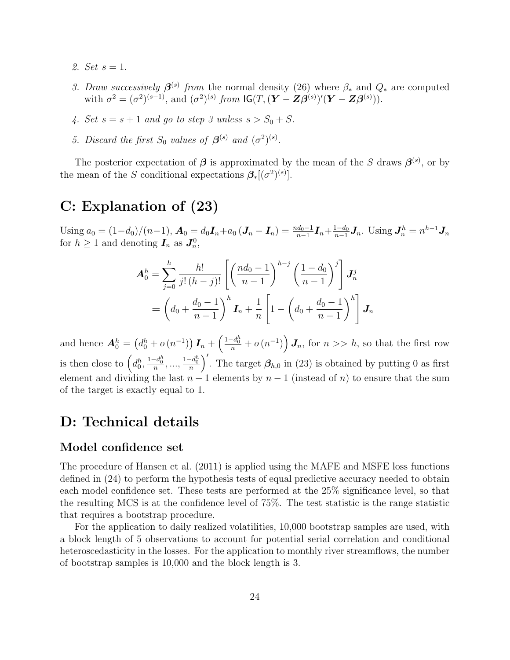- 2. Set  $s = 1$ .
- 3. Draw successively  $\beta^{(s)}$  from the normal density (26) where  $\beta_*$  and  $Q_*$  are computed with  $\sigma^2 = (\sigma^2)^{(s-1)}$ , and  $(\sigma^2)^{(s)}$  from  $\mathsf{IG}(T, (\mathbf{Y} - \mathbf{Z}\boldsymbol{\beta}^{(s)})'(\mathbf{Y} - \mathbf{Z}\boldsymbol{\beta}^{(s)})).$
- 4. Set  $s = s + 1$  and go to step 3 unless  $s > S_0 + S$ .
- 5. Discard the first  $S_0$  values of  $\boldsymbol{\beta}^{(s)}$  and  $(\sigma^2)^{(s)}$ .

The posterior expectation of  $\beta$  is approximated by the mean of the S draws  $\beta^{(s)}$ , or by the mean of the S conditional expectations  $\mathcal{B}_{*}[(\sigma^{2})^{(s)}].$ 

# C: Explanation of (23)

Using  $a_0 = (1-d_0)/(n-1)$ ,  $\mathbf{A}_0 = d_0 \mathbf{I}_n + a_0 (\mathbf{J}_n - \mathbf{I}_n) = \frac{n d_0 - 1}{n-1} \mathbf{I}_n + \frac{1-d_0}{n-1}$  $\frac{1-d_0}{n-1}$ **J**<sub>n</sub>. Using  $J_n^h = n^{h-1}$ **J**<sub>n</sub> for  $h \geq 1$  and denoting  $I_n$  as  $J_n^0$ ,

$$
\mathbf{A}_{0}^{h} = \sum_{j=0}^{h} \frac{h!}{j! (h-j)!} \left[ \left( \frac{nd_{0} - 1}{n-1} \right)^{h-j} \left( \frac{1 - d_{0}}{n-1} \right)^{j} \right] \mathbf{J}_{n}^{j}
$$

$$
= \left( d_{0} + \frac{d_{0} - 1}{n-1} \right)^{h} \mathbf{I}_{n} + \frac{1}{n} \left[ 1 - \left( d_{0} + \frac{d_{0} - 1}{n-1} \right)^{h} \right] \mathbf{J}_{n}
$$

and hence  $A_0^h = (d_0^h + o(n^{-1})) I_n + (\frac{1-d_0^h}{n} + o(n^{-1})) J_n$ , for  $n >> h$ , so that the first row is then close to  $(d_0^h, \frac{1-d_0^h}{n}, \dots, \frac{1-d_0^h}{n})'$ . The target  $\beta_{h,0}$  in (23) is obtained by putting 0 as first element and dividing the last  $n-1$  elements by  $n-1$  (instead of n) to ensure that the sum of the target is exactly equal to 1.

### D: Technical details

#### Model confidence set

The procedure of Hansen et al. (2011) is applied using the MAFE and MSFE loss functions defined in (24) to perform the hypothesis tests of equal predictive accuracy needed to obtain each model confidence set. These tests are performed at the 25% significance level, so that the resulting MCS is at the confidence level of 75%. The test statistic is the range statistic that requires a bootstrap procedure.

For the application to daily realized volatilities, 10,000 bootstrap samples are used, with a block length of 5 observations to account for potential serial correlation and conditional heteroscedasticity in the losses. For the application to monthly river streamflows, the number of bootstrap samples is 10,000 and the block length is 3.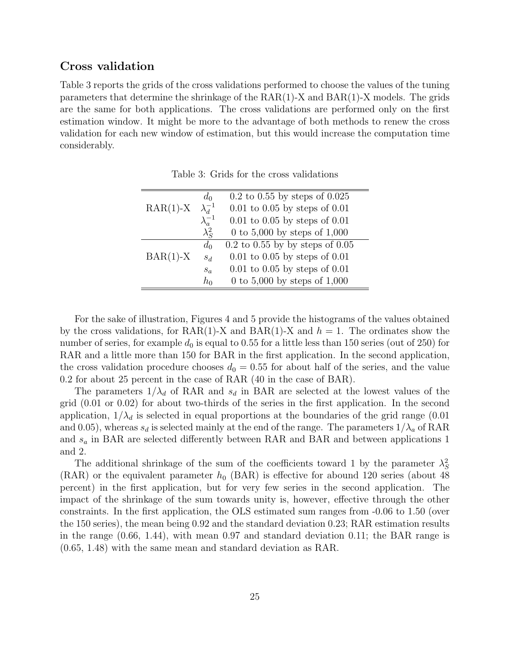#### Cross validation

Table 3 reports the grids of the cross validations performed to choose the values of the tuning parameters that determine the shrinkage of the RAR(1)-X and BAR(1)-X models. The grids are the same for both applications. The cross validations are performed only on the first estimation window. It might be more to the advantage of both methods to renew the cross validation for each new window of estimation, but this would increase the computation time considerably.

|            | $d_0$            | $0.2$ to $0.55$ by steps of $0.025$   |
|------------|------------------|---------------------------------------|
| $RAR(1)-X$ | $\lambda_d^{-1}$ | $0.01$ to $0.05$ by steps of $0.01$   |
|            | $\lambda_a^{-1}$ | $0.01$ to $0.05$ by steps of $0.01$   |
|            | $\lambda_S^2$    | 0 to 5,000 by steps of $1,000$        |
|            | $d_0$            | $0.2$ to $0.55$ by by steps of $0.05$ |
| $BAR(1)-X$ | $S_d$            | $0.01$ to $0.05$ by steps of $0.01$   |
|            | $s_a$            | $0.01$ to $0.05$ by steps of $0.01$   |
|            | $h_0$            | 0 to 5,000 by steps of $1,000$        |

Table 3: Grids for the cross validations

For the sake of illustration, Figures 4 and 5 provide the histograms of the values obtained by the cross validations, for RAR(1)-X and BAR(1)-X and  $h = 1$ . The ordinates show the number of series, for example  $d_0$  is equal to 0.55 for a little less than 150 series (out of 250) for RAR and a little more than 150 for BAR in the first application. In the second application, the cross validation procedure chooses  $d_0 = 0.55$  for about half of the series, and the value 0.2 for about 25 percent in the case of RAR (40 in the case of BAR).

The parameters  $1/\lambda_d$  of RAR and  $s_d$  in BAR are selected at the lowest values of the grid (0.01 or 0.02) for about two-thirds of the series in the first application. In the second application,  $1/\lambda_d$  is selected in equal proportions at the boundaries of the grid range (0.01) and 0.05), whereas  $s_d$  is selected mainly at the end of the range. The parameters  $1/\lambda_a$  of RAR and  $s_a$  in BAR are selected differently between RAR and BAR and between applications 1 and 2.

The additional shrinkage of the sum of the coefficients toward 1 by the parameter  $\lambda_S^2$ (RAR) or the equivalent parameter  $h_0$  (BAR) is effective for abound 120 series (about 48) percent) in the first application, but for very few series in the second application. The impact of the shrinkage of the sum towards unity is, however, effective through the other constraints. In the first application, the OLS estimated sum ranges from -0.06 to 1.50 (over the 150 series), the mean being 0.92 and the standard deviation 0.23; RAR estimation results in the range (0.66, 1.44), with mean 0.97 and standard deviation 0.11; the BAR range is (0.65, 1.48) with the same mean and standard deviation as RAR.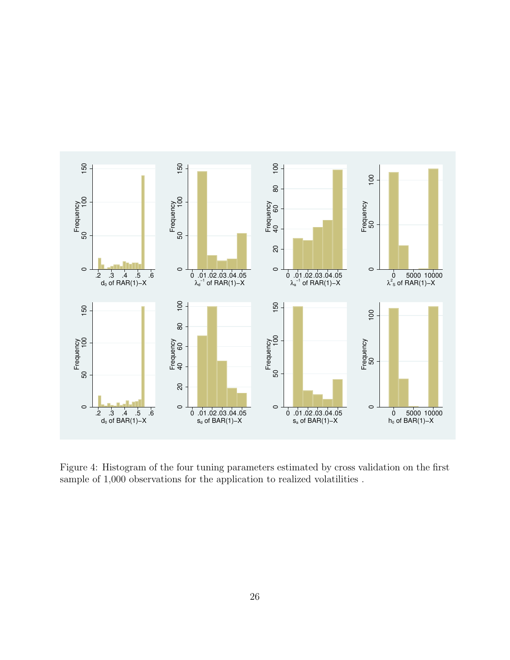

Figure 4: Histogram of the four tuning parameters estimated by cross validation on the first sample of 1,000 observations for the application to realized volatilities .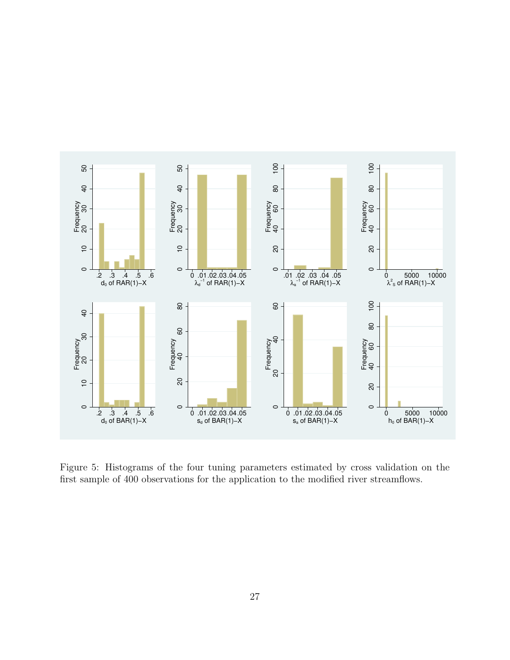

Figure 5: Histograms of the four tuning parameters estimated by cross validation on the first sample of 400 observations for the application to the modified river streamflows.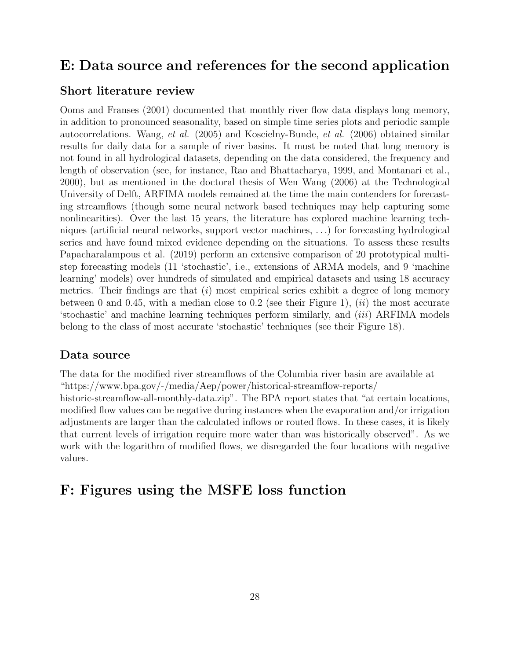### E: Data source and references for the second application

### Short literature review

Ooms and Franses (2001) documented that monthly river flow data displays long memory, in addition to pronounced seasonality, based on simple time series plots and periodic sample autocorrelations. Wang, et al. (2005) and Koscielny-Bunde, et al. (2006) obtained similar results for daily data for a sample of river basins. It must be noted that long memory is not found in all hydrological datasets, depending on the data considered, the frequency and length of observation (see, for instance, Rao and Bhattacharya, 1999, and Montanari et al., 2000), but as mentioned in the doctoral thesis of Wen Wang (2006) at the Technological University of Delft, ARFIMA models remained at the time the main contenders for forecasting streamflows (though some neural network based techniques may help capturing some nonlinearities). Over the last 15 years, the literature has explored machine learning techniques (artificial neural networks, support vector machines, . . .) for forecasting hydrological series and have found mixed evidence depending on the situations. To assess these results Papacharalampous et al. (2019) perform an extensive comparison of 20 prototypical multistep forecasting models (11 'stochastic', i.e., extensions of ARMA models, and 9 'machine learning' models) over hundreds of simulated and empirical datasets and using 18 accuracy metrics. Their findings are that (i) most empirical series exhibit a degree of long memory between 0 and 0.45, with a median close to 0.2 (see their Figure 1),  $(ii)$  the most accurate 'stochastic' and machine learning techniques perform similarly, and (iii) ARFIMA models belong to the class of most accurate 'stochastic' techniques (see their Figure 18).

### Data source

The data for the modified river streamflows of the Columbia river basin are available at "https://www.bpa.gov/-/media/Aep/power/historical-streamflow-reports/ historic-streamflow-all-monthly-data.zip". The BPA report states that "at certain locations, modified flow values can be negative during instances when the evaporation and/or irrigation adjustments are larger than the calculated inflows or routed flows. In these cases, it is likely that current levels of irrigation require more water than was historically observed". As we work with the logarithm of modified flows, we disregarded the four locations with negative values.

### F: Figures using the MSFE loss function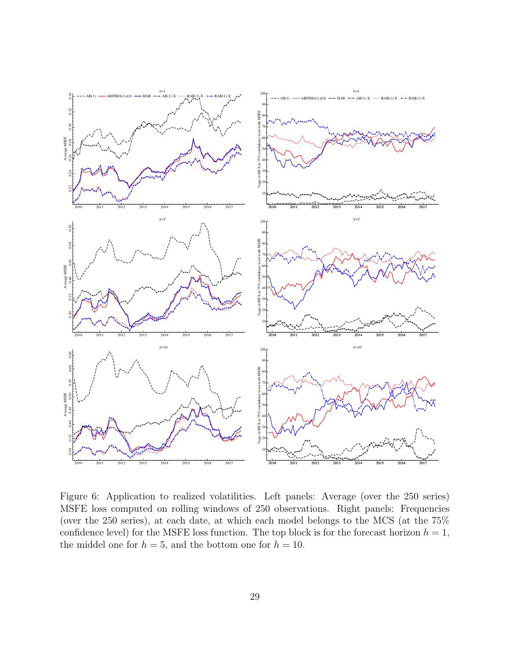

Figure 6: Application to realized volatilities. Left panels: Average (over the 250 series) MSFE loss computed on rolling windows of 250 observations. Right panels: Frequencies (over the 250 series), at each date, at which each model belongs to the MCS (at the 75% confidence level) for the MSFE loss function. The top block is for the forecast horizon  $h = 1$ , the middel one for  $h = 5$ , and the bottom one for  $h = 10$ .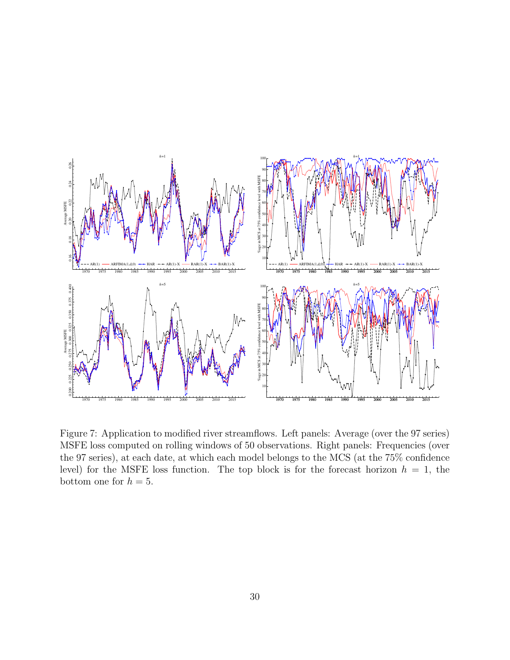

Figure 7: Application to modified river streamflows. Left panels: Average (over the 97 series) MSFE loss computed on rolling windows of 50 observations. Right panels: Frequencies (over the 97 series), at each date, at which each model belongs to the MCS (at the 75% confidence level) for the MSFE loss function. The top block is for the forecast horizon  $h = 1$ , the bottom one for  $h = 5$ .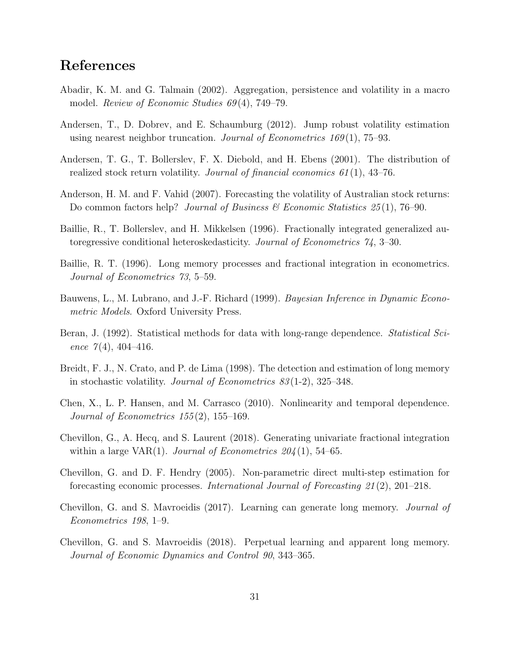## References

- Abadir, K. M. and G. Talmain (2002). Aggregation, persistence and volatility in a macro model. *Review of Economic Studies 69*(4), 749–79.
- Andersen, T., D. Dobrev, and E. Schaumburg (2012). Jump robust volatility estimation using nearest neighbor truncation. Journal of Econometrics  $169(1)$ , 75–93.
- Andersen, T. G., T. Bollerslev, F. X. Diebold, and H. Ebens (2001). The distribution of realized stock return volatility. Journal of financial economics  $61(1)$ , 43–76.
- Anderson, H. M. and F. Vahid (2007). Forecasting the volatility of Australian stock returns: Do common factors help? Journal of Business & Economic Statistics  $25(1)$ , 76–90.
- Baillie, R., T. Bollerslev, and H. Mikkelsen (1996). Fractionally integrated generalized autoregressive conditional heteroskedasticity. Journal of Econometrics 74, 3–30.
- Baillie, R. T. (1996). Long memory processes and fractional integration in econometrics. Journal of Econometrics 73, 5–59.
- Bauwens, L., M. Lubrano, and J.-F. Richard (1999). Bayesian Inference in Dynamic Econometric Models. Oxford University Press.
- Beran, J. (1992). Statistical methods for data with long-range dependence. *Statistical Sci*ence  $7(4)$ , 404-416.
- Breidt, F. J., N. Crato, and P. de Lima (1998). The detection and estimation of long memory in stochastic volatility. Journal of Econometrics 83 (1-2), 325–348.
- Chen, X., L. P. Hansen, and M. Carrasco (2010). Nonlinearity and temporal dependence. Journal of Econometrics  $155(2)$ , 155-169.
- Chevillon, G., A. Hecq, and S. Laurent (2018). Generating univariate fractional integration within a large VAR(1). Journal of Econometrics  $204(1)$ , 54–65.
- Chevillon, G. and D. F. Hendry (2005). Non-parametric direct multi-step estimation for forecasting economic processes. International Journal of Forecasting 21 (2), 201–218.
- Chevillon, G. and S. Mavroeidis (2017). Learning can generate long memory. Journal of Econometrics 198, 1–9.
- Chevillon, G. and S. Mavroeidis (2018). Perpetual learning and apparent long memory. Journal of Economic Dynamics and Control 90, 343–365.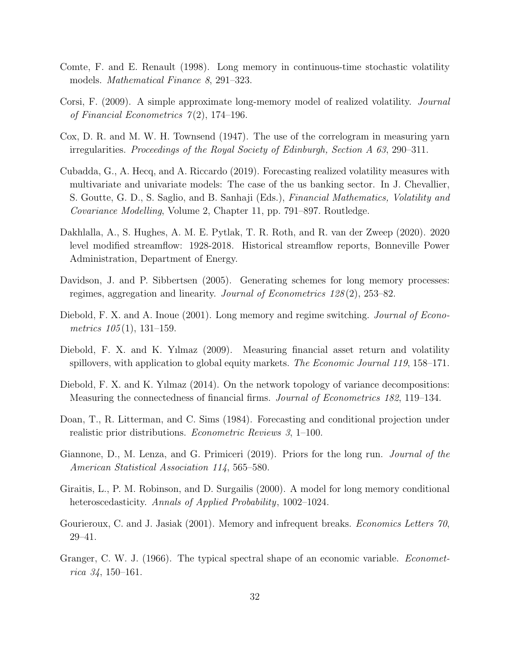- Comte, F. and E. Renault (1998). Long memory in continuous-time stochastic volatility models. *Mathematical Finance 8*, 291–323.
- Corsi, F. (2009). A simple approximate long-memory model of realized volatility. Journal of Financial Econometrics  $7(2)$ , 174–196.
- Cox, D. R. and M. W. H. Townsend (1947). The use of the correlogram in measuring yarn irregularities. Proceedings of the Royal Society of Edinburgh, Section A 63, 290–311.
- Cubadda, G., A. Hecq, and A. Riccardo (2019). Forecasting realized volatility measures with multivariate and univariate models: The case of the us banking sector. In J. Chevallier, S. Goutte, G. D., S. Saglio, and B. Sanhaji (Eds.), Financial Mathematics, Volatility and Covariance Modelling, Volume 2, Chapter 11, pp. 791–897. Routledge.
- Dakhlalla, A., S. Hughes, A. M. E. Pytlak, T. R. Roth, and R. van der Zweep (2020). 2020 level modified streamflow: 1928-2018. Historical streamflow reports, Bonneville Power Administration, Department of Energy.
- Davidson, J. and P. Sibbertsen (2005). Generating schemes for long memory processes: regimes, aggregation and linearity. Journal of Econometrics 128 (2), 253–82.
- Diebold, F. X. and A. Inoue (2001). Long memory and regime switching. *Journal of Econo*metrics  $105(1)$ , 131–159.
- Diebold, F. X. and K. Yılmaz (2009). Measuring financial asset return and volatility spillovers, with application to global equity markets. The Economic Journal 119, 158–171.
- Diebold, F. X. and K. Yılmaz (2014). On the network topology of variance decompositions: Measuring the connectedness of financial firms. Journal of Econometrics 182, 119–134.
- Doan, T., R. Litterman, and C. Sims (1984). Forecasting and conditional projection under realistic prior distributions. Econometric Reviews 3, 1–100.
- Giannone, D., M. Lenza, and G. Primiceri (2019). Priors for the long run. Journal of the American Statistical Association 114, 565–580.
- Giraitis, L., P. M. Robinson, and D. Surgailis (2000). A model for long memory conditional heteroscedasticity. Annals of Applied Probability, 1002–1024.
- Gourieroux, C. and J. Jasiak (2001). Memory and infrequent breaks. *Economics Letters 70*, 29–41.
- Granger, C. W. J. (1966). The typical spectral shape of an economic variable. *Economet*rica 34, 150–161.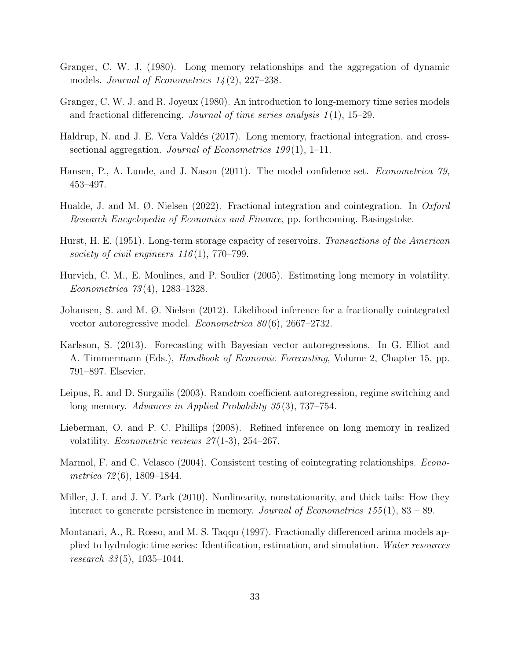- Granger, C. W. J. (1980). Long memory relationships and the aggregation of dynamic models. Journal of Econometrics  $14(2)$ ,  $227-238$ .
- Granger, C. W. J. and R. Joyeux (1980). An introduction to long-memory time series models and fractional differencing. Journal of time series analysis  $1(1)$ , 15–29.
- Haldrup, N. and J. E. Vera Valdés (2017). Long memory, fractional integration, and crosssectional aggregation. Journal of Econometrics  $199(1)$ , 1–11.
- Hansen, P., A. Lunde, and J. Nason (2011). The model confidence set. *Econometrica 79*, 453–497.
- Hualde, J. and M.  $\varnothing$ . Nielsen (2022). Fractional integration and cointegration. In *Oxford* Research Encyclopedia of Economics and Finance, pp. forthcoming. Basingstoke.
- Hurst, H. E. (1951). Long-term storage capacity of reservoirs. Transactions of the American society of civil engineers  $116(1)$ , 770–799.
- Hurvich, C. M., E. Moulines, and P. Soulier (2005). Estimating long memory in volatility. Econometrica 73 (4), 1283–1328.
- Johansen, S. and M. Ø. Nielsen (2012). Likelihood inference for a fractionally cointegrated vector autoregressive model. *Econometrica*  $80(6)$ , 2667–2732.
- Karlsson, S. (2013). Forecasting with Bayesian vector autoregressions. In G. Elliot and A. Timmermann (Eds.), Handbook of Economic Forecasting, Volume 2, Chapter 15, pp. 791–897. Elsevier.
- Leipus, R. and D. Surgailis (2003). Random coefficient autoregression, regime switching and long memory. Advances in Applied Probability 35(3), 737–754.
- Lieberman, O. and P. C. Phillips (2008). Refined inference on long memory in realized volatility. *Econometric reviews 27*(1-3), 254–267.
- Marmol, F. and C. Velasco (2004). Consistent testing of cointegrating relationships. *Econo*metrica 72 (6), 1809–1844.
- Miller, J. I. and J. Y. Park (2010). Nonlinearity, nonstationarity, and thick tails: How they interact to generate persistence in memory. Journal of Econometrics  $155(1)$ ,  $83-89$ .
- Montanari, A., R. Rosso, and M. S. Taqqu (1997). Fractionally differenced arima models applied to hydrologic time series: Identification, estimation, and simulation. Water resources research  $33(5)$ , 1035–1044.